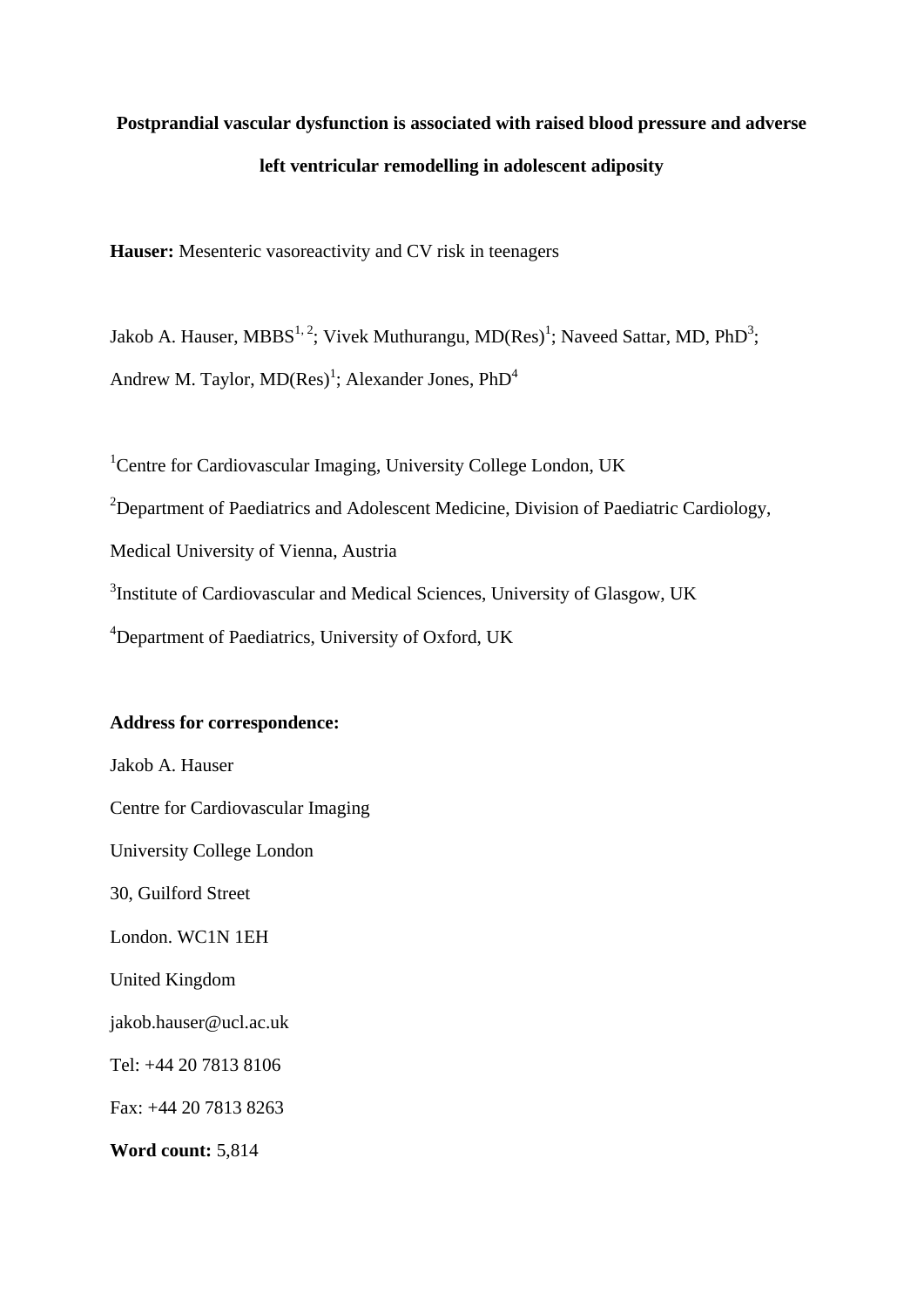# **Postprandial vascular dysfunction is associated with raised blood pressure and adverse left ventricular remodelling in adolescent adiposity**

**Hauser:** Mesenteric vasoreactivity and CV risk in teenagers

Jakob A. Hauser, MBBS<sup>1, 2</sup>; Vivek Muthurangu, MD(Res)<sup>1</sup>; Naveed Sattar, MD, PhD<sup>3</sup>; Andrew M. Taylor,  $MD(Res)^{1}$ ; Alexander Jones,  $PhD^{4}$ 

<sup>1</sup>Centre for Cardiovascular Imaging, University College London, UK <sup>2</sup>Department of Paediatrics and Adolescent Medicine, Division of Paediatric Cardiology, Medical University of Vienna, Austria <sup>3</sup>Institute of Cardiovascular and Medical Sciences, University of Glasgow, UK <sup>4</sup>Department of Paediatrics, University of Oxford, UK

# **Address for correspondence:**

Jakob A. Hauser Centre for Cardiovascular Imaging University College London 30, Guilford Street London. WC1N 1EH United Kingdom jakob.hauser@ucl.ac.uk Tel: +44 20 7813 8106 Fax: +44 20 7813 8263 **Word count:** 5,814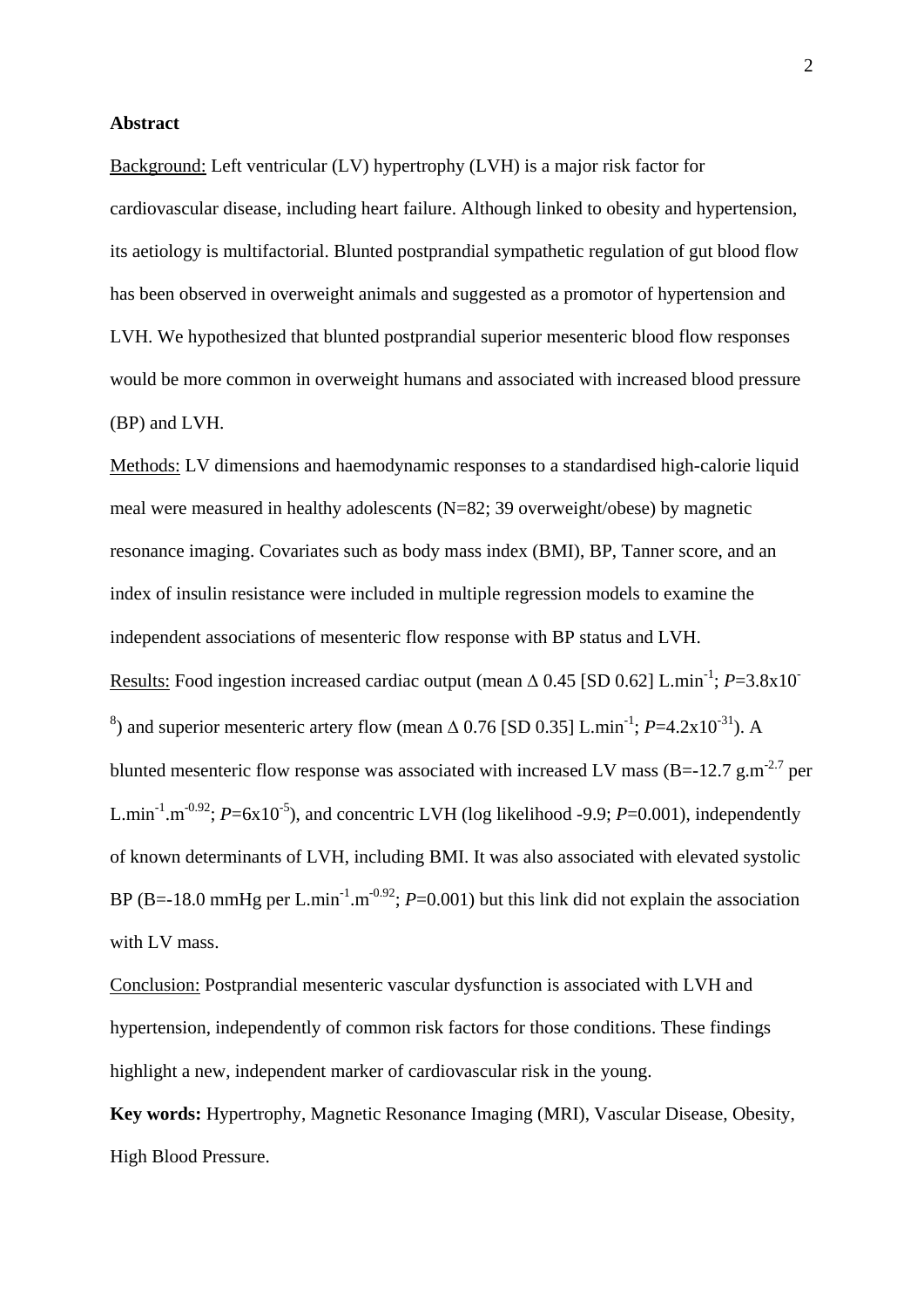### **Abstract**

Background: Left ventricular (LV) hypertrophy (LVH) is a major risk factor for cardiovascular disease, including heart failure. Although linked to obesity and hypertension, its aetiology is multifactorial. Blunted postprandial sympathetic regulation of gut blood flow has been observed in overweight animals and suggested as a promotor of hypertension and LVH. We hypothesized that blunted postprandial superior mesenteric blood flow responses would be more common in overweight humans and associated with increased blood pressure (BP) and LVH.

Methods: LV dimensions and haemodynamic responses to a standardised high-calorie liquid meal were measured in healthy adolescents (N=82; 39 overweight/obese) by magnetic resonance imaging. Covariates such as body mass index (BMI), BP, Tanner score, and an index of insulin resistance were included in multiple regression models to examine the independent associations of mesenteric flow response with BP status and LVH. Results: Food ingestion increased cardiac output (mean  $\triangle$  0.45 [SD 0.62] L.min<sup>-1</sup>; *P*=3.8x10<sup>-1</sup> <sup>8</sup>) and superior mesenteric artery flow (mean  $\triangle$  0.76 [SD 0.35] L.min<sup>-1</sup>; *P*=4.2x10<sup>-31</sup>). A blunted mesenteric flow response was associated with increased LV mass (B=-12.7 g.m<sup>-2.7</sup> per L.min<sup>-1</sup>.m<sup>-0.92</sup>;  $P = 6x10^{-5}$ ), and concentric LVH (log likelihood -9.9;  $P = 0.001$ ), independently of known determinants of LVH, including BMI. It was also associated with elevated systolic BP (B=-18.0 mmHg per L.min<sup>-1</sup>.m<sup>-0.92</sup>;  $P=0.001$ ) but this link did not explain the association with LV mass.

Conclusion: Postprandial mesenteric vascular dysfunction is associated with LVH and hypertension, independently of common risk factors for those conditions. These findings highlight a new, independent marker of cardiovascular risk in the young.

**Key words:** Hypertrophy, Magnetic Resonance Imaging (MRI), Vascular Disease, Obesity, High Blood Pressure.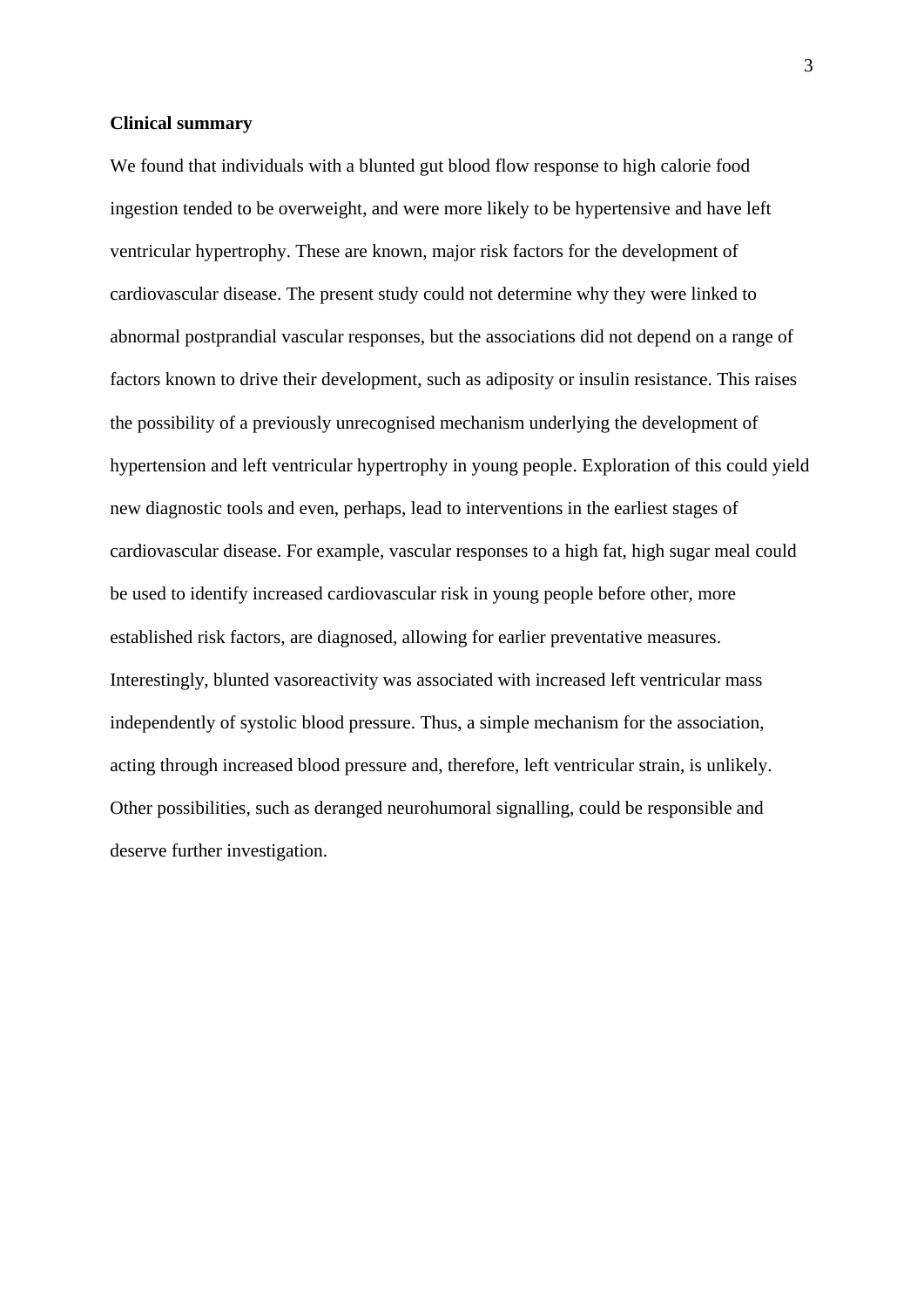#### **Clinical summary**

We found that individuals with a blunted gut blood flow response to high calorie food ingestion tended to be overweight, and were more likely to be hypertensive and have left ventricular hypertrophy. These are known, major risk factors for the development of cardiovascular disease. The present study could not determine why they were linked to abnormal postprandial vascular responses, but the associations did not depend on a range of factors known to drive their development, such as adiposity or insulin resistance. This raises the possibility of a previously unrecognised mechanism underlying the development of hypertension and left ventricular hypertrophy in young people. Exploration of this could yield new diagnostic tools and even, perhaps, lead to interventions in the earliest stages of cardiovascular disease. For example, vascular responses to a high fat, high sugar meal could be used to identify increased cardiovascular risk in young people before other, more established risk factors, are diagnosed, allowing for earlier preventative measures. Interestingly, blunted vasoreactivity was associated with increased left ventricular mass independently of systolic blood pressure. Thus, a simple mechanism for the association, acting through increased blood pressure and, therefore, left ventricular strain, is unlikely. Other possibilities, such as deranged neurohumoral signalling, could be responsible and deserve further investigation.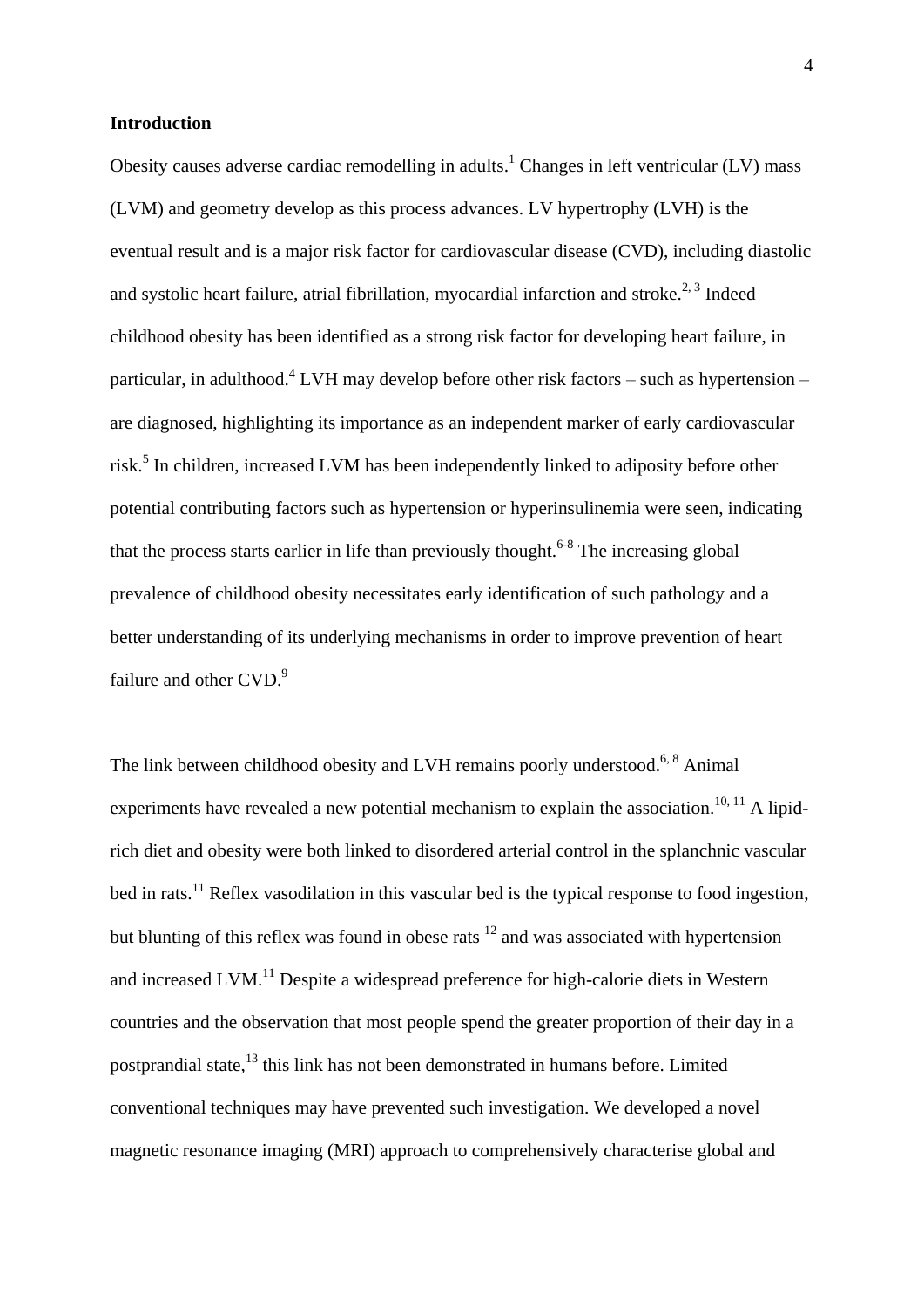### **Introduction**

Obesity causes adverse cardiac remodelling in adults.<sup>1</sup> Changes in left ventricular (LV) mass (LVM) and geometry develop as this process advances. LV hypertrophy (LVH) is the eventual result and is a major risk factor for cardiovascular disease (CVD), including diastolic and systolic heart failure, atrial fibrillation, myocardial infarction and stroke.<sup>2, 3</sup> Indeed childhood obesity has been identified as a strong risk factor for developing heart failure, in particular, in adulthood.<sup>4</sup> LVH may develop before other risk factors – such as hypertension – are diagnosed, highlighting its importance as an independent marker of early cardiovascular risk.<sup>5</sup> In children, increased LVM has been independently linked to adiposity before other potential contributing factors such as hypertension or hyperinsulinemia were seen, indicating that the process starts earlier in life than previously thought.<sup> $6-8$ </sup> The increasing global prevalence of childhood obesity necessitates early identification of such pathology and a better understanding of its underlying mechanisms in order to improve prevention of heart failure and other CVD.<sup>9</sup>

The link between childhood obesity and LVH remains poorly understood.<sup>6, 8</sup> Animal experiments have revealed a new potential mechanism to explain the association.<sup>10, 11</sup> A lipidrich diet and obesity were both linked to disordered arterial control in the splanchnic vascular bed in rats.<sup>11</sup> Reflex vasodilation in this vascular bed is the typical response to food ingestion, but blunting of this reflex was found in obese rats  $12$  and was associated with hypertension and increased  $LVM$ .<sup>11</sup> Despite a widespread preference for high-calorie diets in Western countries and the observation that most people spend the greater proportion of their day in a postprandial state,<sup>13</sup> this link has not been demonstrated in humans before. Limited conventional techniques may have prevented such investigation. We developed a novel magnetic resonance imaging (MRI) approach to comprehensively characterise global and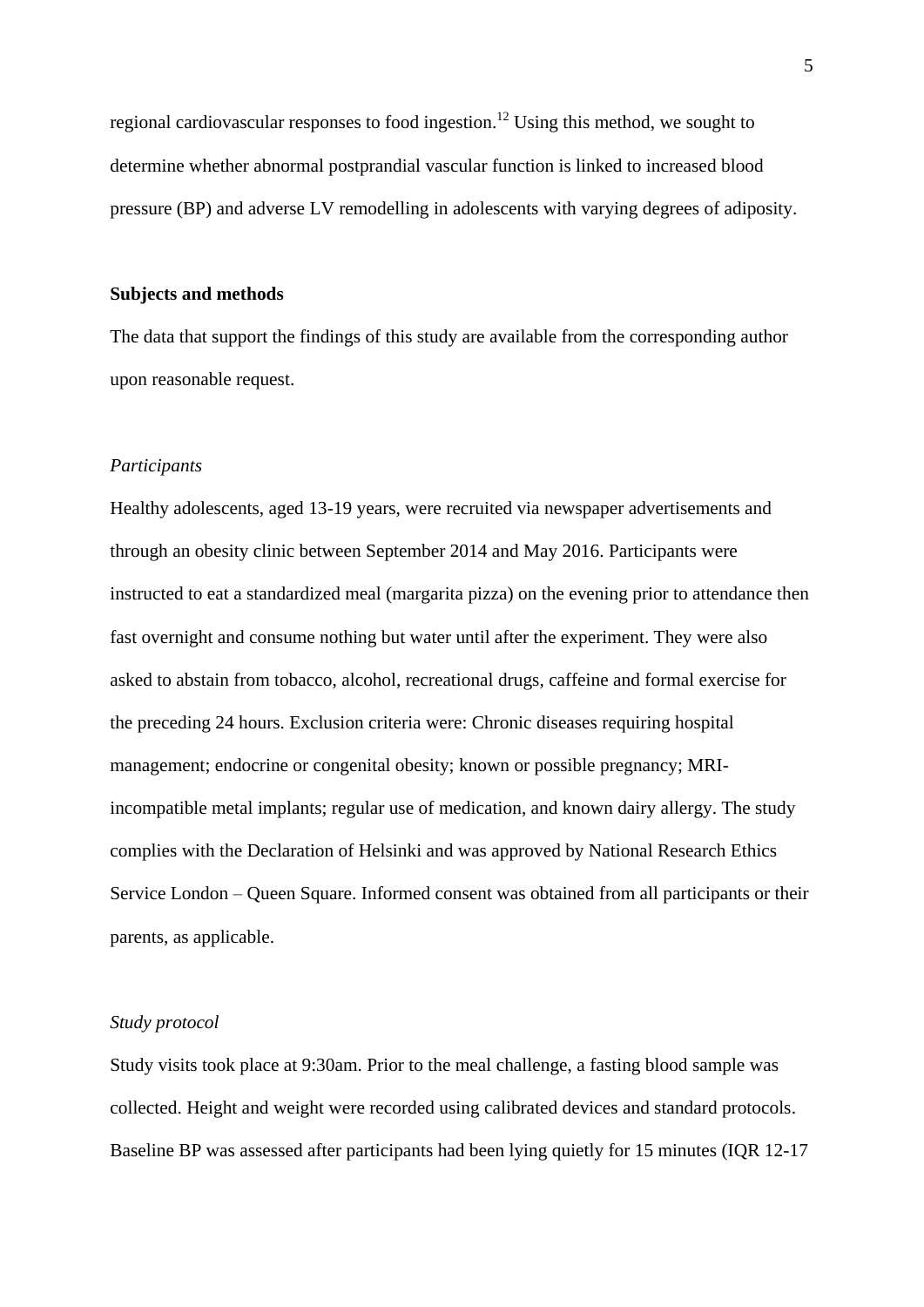regional cardiovascular responses to food ingestion.<sup>12</sup> Using this method, we sought to determine whether abnormal postprandial vascular function is linked to increased blood pressure (BP) and adverse LV remodelling in adolescents with varying degrees of adiposity.

## **Subjects and methods**

The data that support the findings of this study are available from the corresponding author upon reasonable request.

# *Participants*

Healthy adolescents, aged 13-19 years, were recruited via newspaper advertisements and through an obesity clinic between September 2014 and May 2016. Participants were instructed to eat a standardized meal (margarita pizza) on the evening prior to attendance then fast overnight and consume nothing but water until after the experiment. They were also asked to abstain from tobacco, alcohol, recreational drugs, caffeine and formal exercise for the preceding 24 hours. Exclusion criteria were: Chronic diseases requiring hospital management; endocrine or congenital obesity; known or possible pregnancy; MRIincompatible metal implants; regular use of medication, and known dairy allergy. The study complies with the Declaration of Helsinki and was approved by National Research Ethics Service London – Queen Square. Informed consent was obtained from all participants or their parents, as applicable.

#### *Study protocol*

Study visits took place at 9:30am. Prior to the meal challenge, a fasting blood sample was collected. Height and weight were recorded using calibrated devices and standard protocols. Baseline BP was assessed after participants had been lying quietly for 15 minutes (IQR 12-17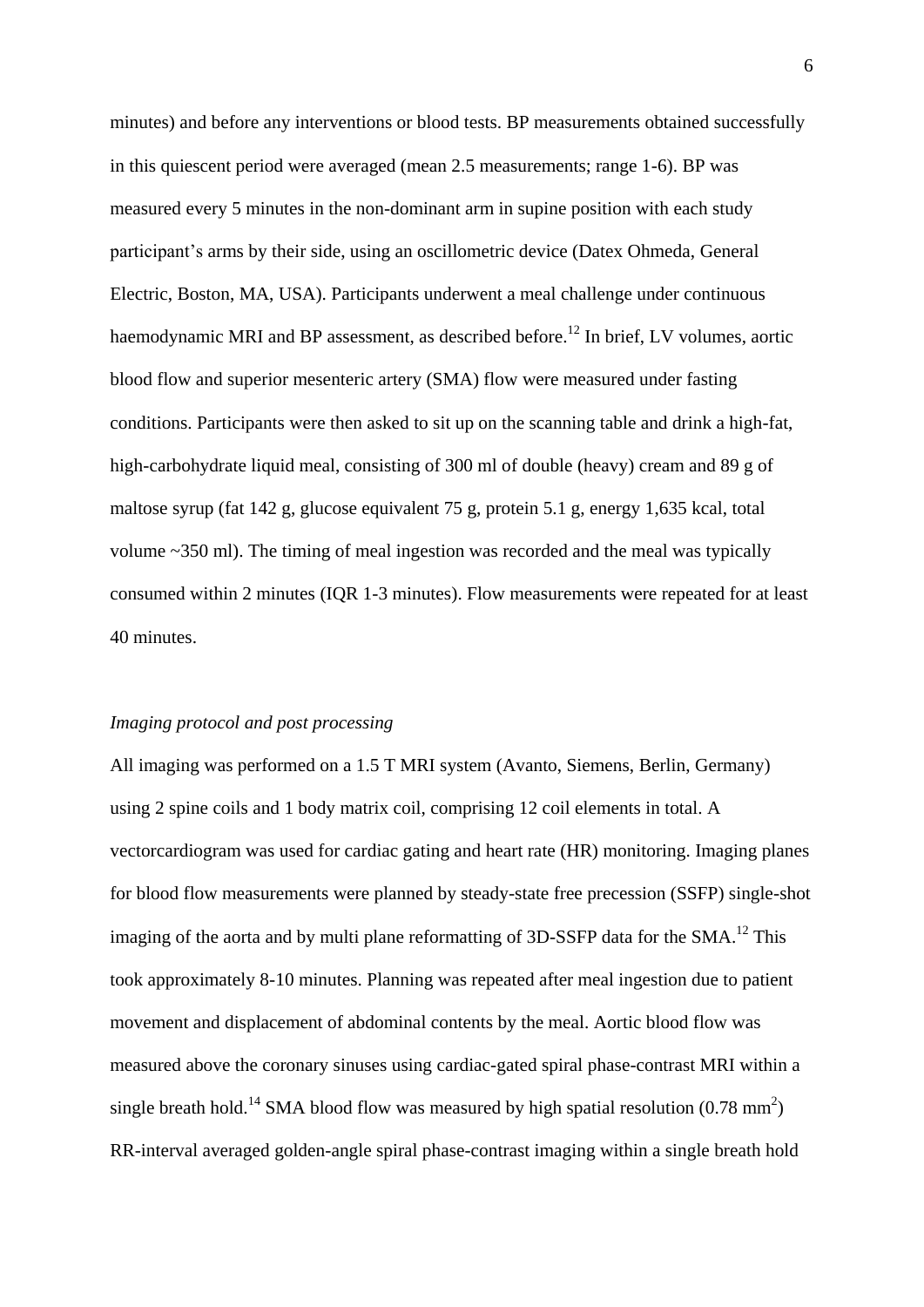minutes) and before any interventions or blood tests. BP measurements obtained successfully in this quiescent period were averaged (mean 2.5 measurements; range 1-6). BP was measured every 5 minutes in the non-dominant arm in supine position with each study participant's arms by their side, using an oscillometric device (Datex Ohmeda, General Electric, Boston, MA, USA). Participants underwent a meal challenge under continuous haemodynamic MRI and BP assessment, as described before.<sup>12</sup> In brief, LV volumes, aortic blood flow and superior mesenteric artery (SMA) flow were measured under fasting conditions. Participants were then asked to sit up on the scanning table and drink a high-fat, high-carbohydrate liquid meal, consisting of 300 ml of double (heavy) cream and 89 g of maltose syrup (fat 142 g, glucose equivalent 75 g, protein 5.1 g, energy 1,635 kcal, total volume ~350 ml). The timing of meal ingestion was recorded and the meal was typically consumed within 2 minutes (IQR 1-3 minutes). Flow measurements were repeated for at least 40 minutes.

# *Imaging protocol and post processing*

All imaging was performed on a 1.5 T MRI system (Avanto, Siemens, Berlin, Germany) using 2 spine coils and 1 body matrix coil, comprising 12 coil elements in total. A vectorcardiogram was used for cardiac gating and heart rate (HR) monitoring. Imaging planes for blood flow measurements were planned by steady-state free precession (SSFP) single-shot imaging of the aorta and by multi plane reformatting of 3D-SSFP data for the SMA.<sup>12</sup> This took approximately 8-10 minutes. Planning was repeated after meal ingestion due to patient movement and displacement of abdominal contents by the meal. Aortic blood flow was measured above the coronary sinuses using cardiac-gated spiral phase-contrast MRI within a single breath hold.<sup>14</sup> SMA blood flow was measured by high spatial resolution  $(0.78 \text{ mm}^2)$ RR-interval averaged golden-angle spiral phase-contrast imaging within a single breath hold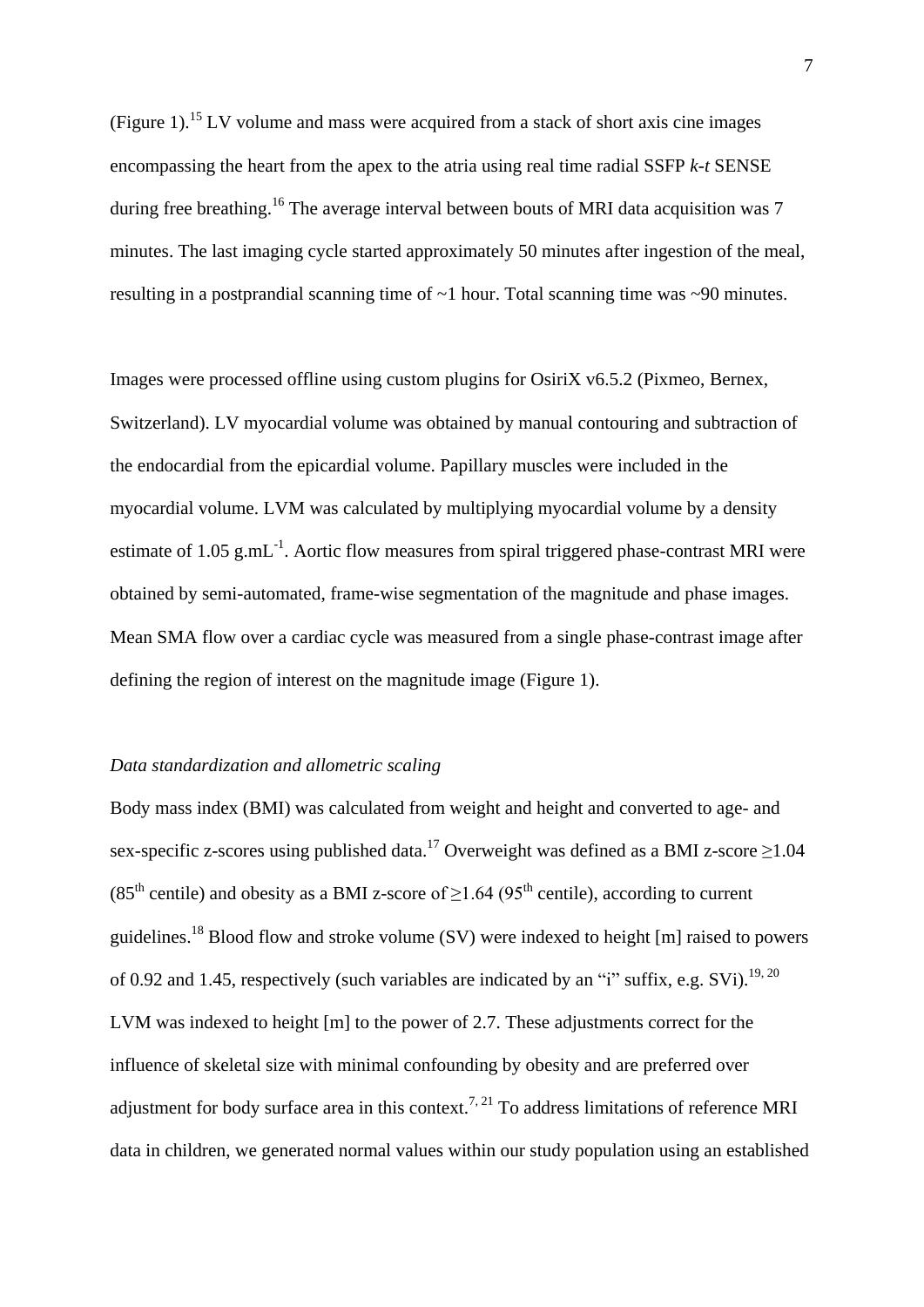(Figure 1).<sup>15</sup> LV volume and mass were acquired from a stack of short axis cine images encompassing the heart from the apex to the atria using real time radial SSFP *k-t* SENSE during free breathing.<sup>16</sup> The average interval between bouts of MRI data acquisition was 7 minutes. The last imaging cycle started approximately 50 minutes after ingestion of the meal, resulting in a postprandial scanning time of ~1 hour. Total scanning time was ~90 minutes.

Images were processed offline using custom plugins for OsiriX v6.5.2 (Pixmeo, Bernex, Switzerland). LV myocardial volume was obtained by manual contouring and subtraction of the endocardial from the epicardial volume. Papillary muscles were included in the myocardial volume. LVM was calculated by multiplying myocardial volume by a density estimate of 1.05  $g.mL^{-1}$ . Aortic flow measures from spiral triggered phase-contrast MRI were obtained by semi-automated, frame-wise segmentation of the magnitude and phase images. Mean SMA flow over a cardiac cycle was measured from a single phase-contrast image after defining the region of interest on the magnitude image (Figure 1).

### *Data standardization and allometric scaling*

Body mass index (BMI) was calculated from weight and height and converted to age- and sex-specific z-scores using published data.<sup>17</sup> Overweight was defined as a BMI z-score  $\geq$ 1.04  $(85<sup>th</sup>$  centile) and obesity as a BMI z-score of  $\geq 1.64$  (95<sup>th</sup> centile), according to current guidelines.<sup>18</sup> Blood flow and stroke volume (SV) were indexed to height [m] raised to powers of 0.92 and 1.45, respectively (such variables are indicated by an "i" suffix, e.g. SVi).<sup>19, 20</sup> LVM was indexed to height [m] to the power of 2.7. These adjustments correct for the influence of skeletal size with minimal confounding by obesity and are preferred over adjustment for body surface area in this context.<sup>7, 21</sup> To address limitations of reference MRI data in children, we generated normal values within our study population using an established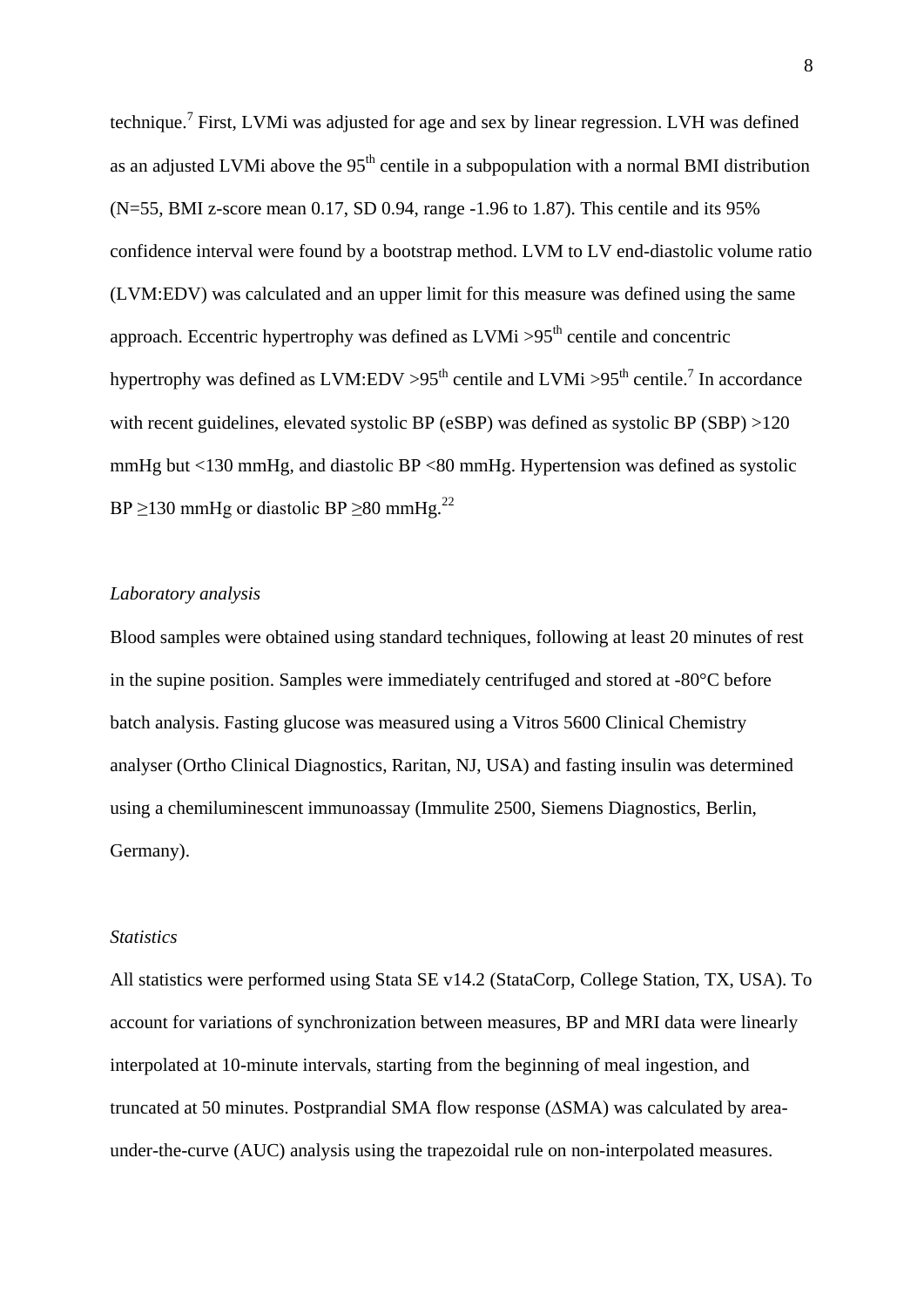technique.<sup>7</sup> First, LVMi was adjusted for age and sex by linear regression. LVH was defined as an adjusted LVMi above the  $95<sup>th</sup>$  centile in a subpopulation with a normal BMI distribution (N=55, BMI z-score mean 0.17, SD 0.94, range -1.96 to 1.87). This centile and its 95% confidence interval were found by a bootstrap method. LVM to LV end-diastolic volume ratio (LVM:EDV) was calculated and an upper limit for this measure was defined using the same approach. Eccentric hypertrophy was defined as  $LVMi > 95<sup>th</sup>$  centile and concentric hypertrophy was defined as LVM:EDV >95<sup>th</sup> centile and LVMi >95<sup>th</sup> centile.<sup>7</sup> In accordance with recent guidelines, elevated systolic BP (eSBP) was defined as systolic BP (SBP) >120 mmHg but <130 mmHg, and diastolic BP <80 mmHg. Hypertension was defined as systolic BP  $\geq$ 130 mmHg or diastolic BP  $\geq$ 80 mmHg.<sup>22</sup>

# *Laboratory analysis*

Blood samples were obtained using standard techniques, following at least 20 minutes of rest in the supine position. Samples were immediately centrifuged and stored at -80°C before batch analysis. Fasting glucose was measured using a Vitros 5600 Clinical Chemistry analyser (Ortho Clinical Diagnostics, Raritan, NJ, USA) and fasting insulin was determined using a chemiluminescent immunoassay (Immulite 2500, Siemens Diagnostics, Berlin, Germany).

# *Statistics*

All statistics were performed using Stata SE v14.2 (StataCorp, College Station, TX, USA). To account for variations of synchronization between measures, BP and MRI data were linearly interpolated at 10-minute intervals, starting from the beginning of meal ingestion, and truncated at 50 minutes. Postprandial SMA flow response (∆SMA) was calculated by areaunder-the-curve (AUC) analysis using the trapezoidal rule on non-interpolated measures.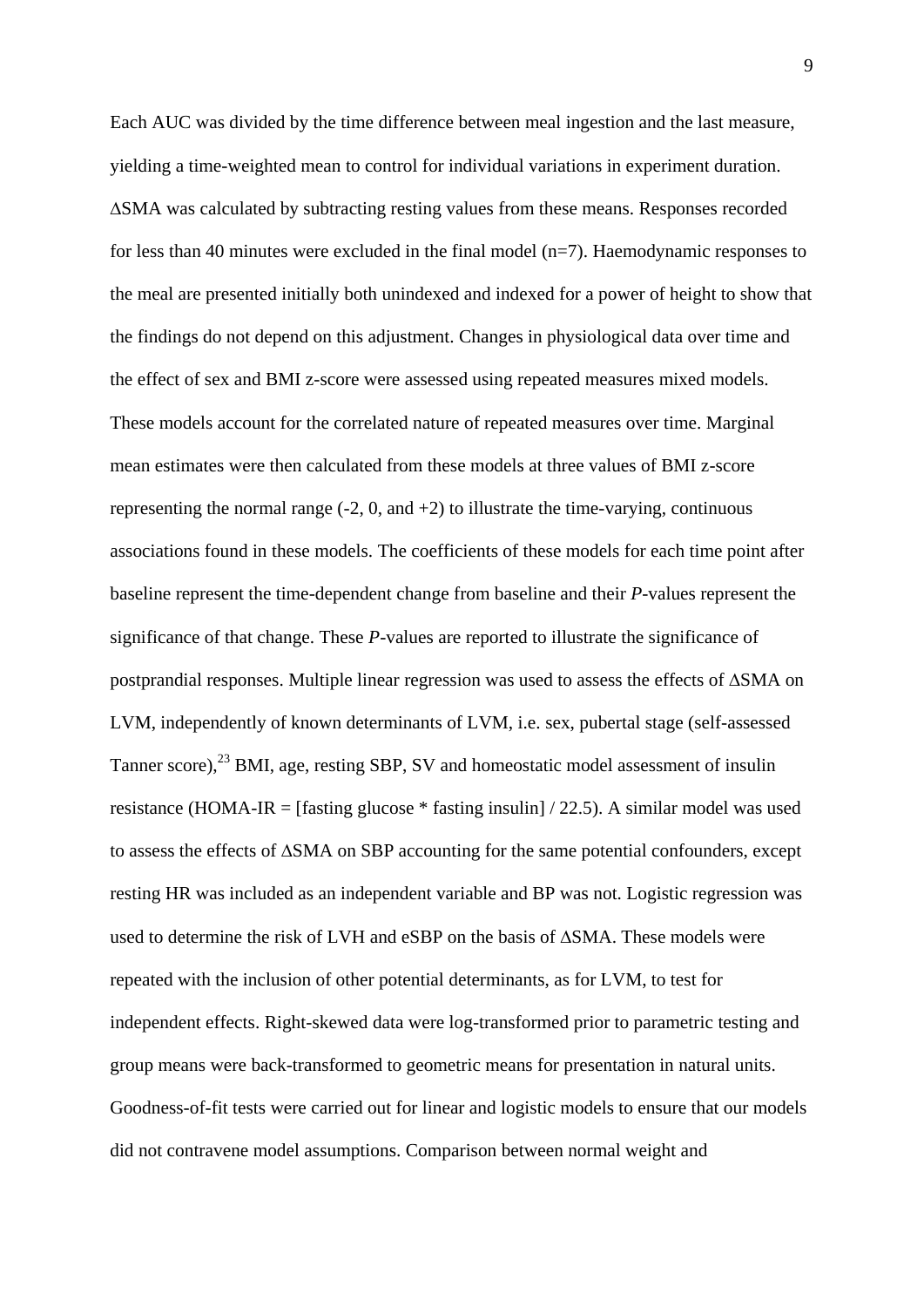Each AUC was divided by the time difference between meal ingestion and the last measure, yielding a time-weighted mean to control for individual variations in experiment duration. ∆SMA was calculated by subtracting resting values from these means. Responses recorded for less than 40 minutes were excluded in the final model  $(n=7)$ . Haemodynamic responses to the meal are presented initially both unindexed and indexed for a power of height to show that the findings do not depend on this adjustment. Changes in physiological data over time and the effect of sex and BMI z-score were assessed using repeated measures mixed models. These models account for the correlated nature of repeated measures over time. Marginal mean estimates were then calculated from these models at three values of BMI z-score representing the normal range  $(-2, 0, \text{ and } +2)$  to illustrate the time-varying, continuous associations found in these models. The coefficients of these models for each time point after baseline represent the time-dependent change from baseline and their *P*-values represent the significance of that change. These *P*-values are reported to illustrate the significance of postprandial responses. Multiple linear regression was used to assess the effects of ∆SMA on LVM, independently of known determinants of LVM, i.e. sex, pubertal stage (self-assessed Tanner score), $^{23}$  BMI, age, resting SBP, SV and homeostatic model assessment of insulin resistance (HOMA-IR = [fasting glucose  $*$  fasting insulin] / 22.5). A similar model was used to assess the effects of ∆SMA on SBP accounting for the same potential confounders, except resting HR was included as an independent variable and BP was not. Logistic regression was used to determine the risk of LVH and eSBP on the basis of ∆SMA. These models were repeated with the inclusion of other potential determinants, as for LVM, to test for independent effects. Right-skewed data were log-transformed prior to parametric testing and group means were back-transformed to geometric means for presentation in natural units. Goodness-of-fit tests were carried out for linear and logistic models to ensure that our models did not contravene model assumptions. Comparison between normal weight and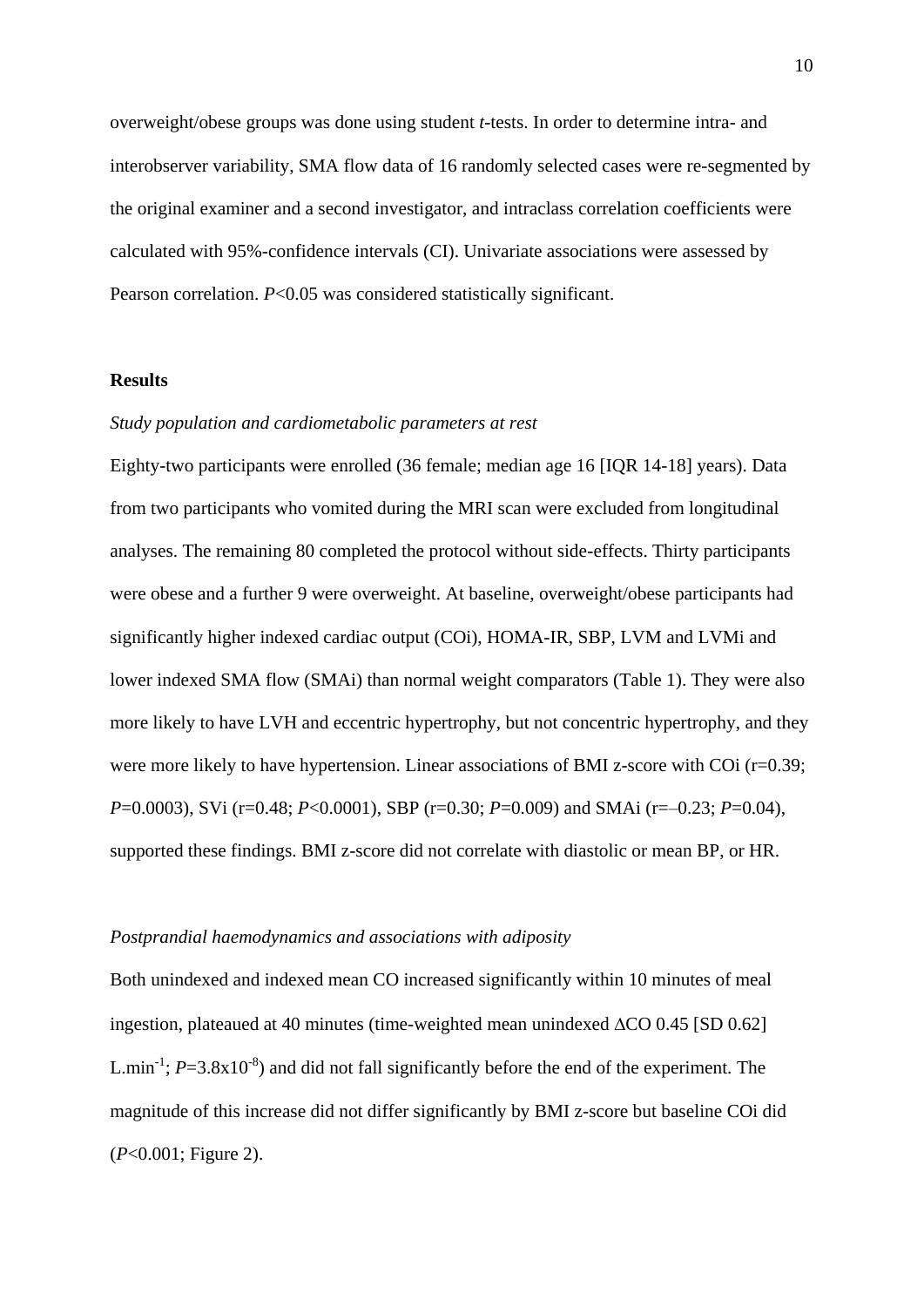overweight/obese groups was done using student *t*-tests. In order to determine intra- and interobserver variability, SMA flow data of 16 randomly selected cases were re-segmented by the original examiner and a second investigator, and intraclass correlation coefficients were calculated with 95%-confidence intervals (CI). Univariate associations were assessed by Pearson correlation. *P*<0.05 was considered statistically significant.

#### **Results**

# *Study population and cardiometabolic parameters at rest*

Eighty-two participants were enrolled (36 female; median age 16 [IQR 14-18] years). Data from two participants who vomited during the MRI scan were excluded from longitudinal analyses. The remaining 80 completed the protocol without side-effects. Thirty participants were obese and a further 9 were overweight. At baseline, overweight/obese participants had significantly higher indexed cardiac output (COi), HOMA-IR, SBP, LVM and LVMi and lower indexed SMA flow (SMAi) than normal weight comparators (Table 1). They were also more likely to have LVH and eccentric hypertrophy, but not concentric hypertrophy, and they were more likely to have hypertension. Linear associations of BMI z-score with COi (r=0.39; *P*=0.0003), SVi (r=0.48; *P*<0.0001), SBP (r=0.30; *P*=0.009) and SMAi (r=–0.23; *P*=0.04), supported these findings. BMI z-score did not correlate with diastolic or mean BP, or HR.

#### *Postprandial haemodynamics and associations with adiposity*

Both unindexed and indexed mean CO increased significantly within 10 minutes of meal ingestion, plateaued at 40 minutes (time-weighted mean unindexed  $\Delta CO$  0.45 [SD 0.62] L.min<sup>-1</sup>;  $P=3.8\times10^{-8}$ ) and did not fall significantly before the end of the experiment. The magnitude of this increase did not differ significantly by BMI z-score but baseline COi did (*P*<0.001; Figure 2).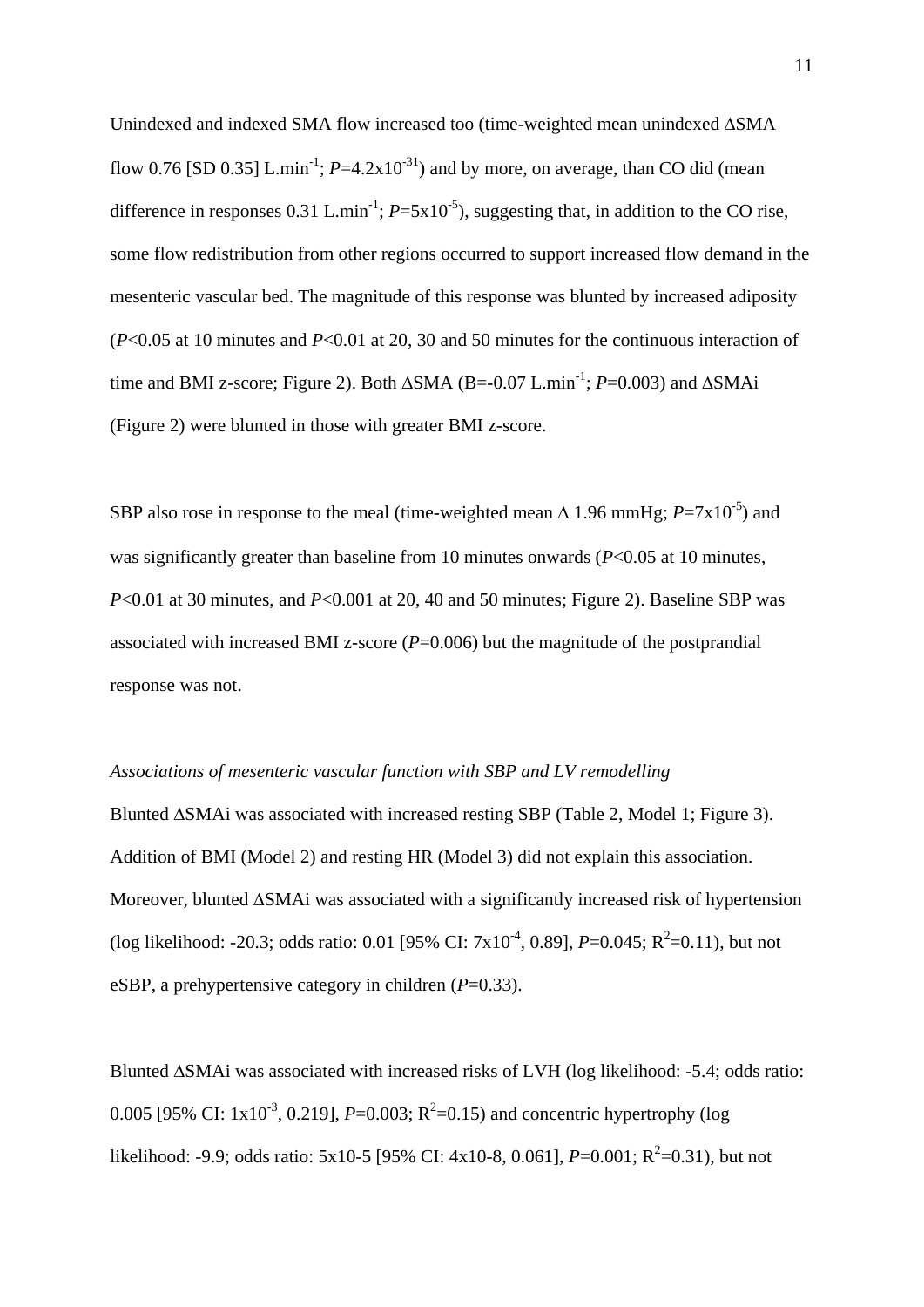Unindexed and indexed SMA flow increased too (time-weighted mean unindexed SMA flow 0.76 [SD 0.35] L.min<sup>-1</sup>;  $P=4.2 \times 10^{-31}$ ) and by more, on average, than CO did (mean difference in responses 0.31 L.min<sup>-1</sup>;  $P = 5x10^{-5}$ ), suggesting that, in addition to the CO rise, some flow redistribution from other regions occurred to support increased flow demand in the mesenteric vascular bed. The magnitude of this response was blunted by increased adiposity (*P*<0.05 at 10 minutes and *P*<0.01 at 20, 30 and 50 minutes for the continuous interaction of time and BMI z-score; Figure 2). Both ∆SMA (B=-0.07 L.min<sup>-1</sup>; *P*=0.003) and ∆SMAi (Figure 2) were blunted in those with greater BMI z-score.

SBP also rose in response to the meal (time-weighted mean  $\triangle 1.96$  mmHg;  $P = 7 \times 10^{-5}$ ) and was significantly greater than baseline from 10 minutes onwards (*P*<0.05 at 10 minutes, *P*<0.01 at 30 minutes, and *P*<0.001 at 20, 40 and 50 minutes; Figure 2). Baseline SBP was associated with increased BMI z-score  $(P=0.006)$  but the magnitude of the postprandial response was not.

# *Associations of mesenteric vascular function with SBP and LV remodelling*

Blunted ∆SMAi was associated with increased resting SBP (Table 2, Model 1; Figure 3). Addition of BMI (Model 2) and resting HR (Model 3) did not explain this association. Moreover, blunted ∆SMAi was associated with a significantly increased risk of hypertension (log likelihood: -20.3; odds ratio: 0.01 [95% CI: 7x10<sup>-4</sup>, 0.89], *P*=0.045; R<sup>2</sup>=0.11), but not eSBP, a prehypertensive category in children (*P*=0.33).

Blunted ∆SMAi was associated with increased risks of LVH (log likelihood: -5.4; odds ratio: 0.005 [95% CI:  $1x10^{-3}$ , 0.219],  $P=0.003$ ;  $R^2=0.15$ ) and concentric hypertrophy (log likelihood: -9.9; odds ratio: 5x10-5 [95% CI: 4x10-8, 0.061],  $P=0.001$ ;  $R^2=0.31$ ), but not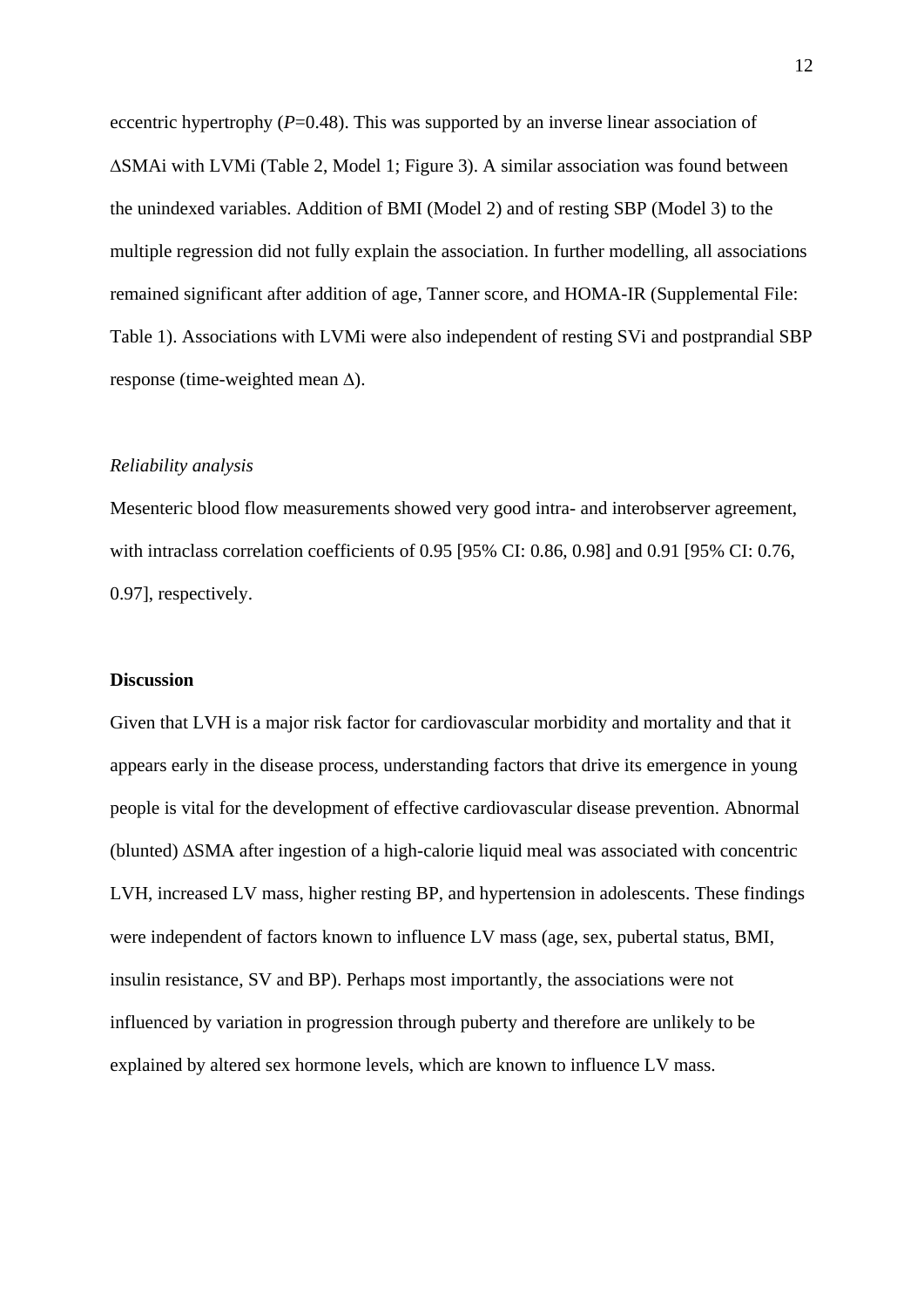eccentric hypertrophy (*P*=0.48). This was supported by an inverse linear association of ∆SMAi with LVMi (Table 2, Model 1; Figure 3). A similar association was found between the unindexed variables. Addition of BMI (Model 2) and of resting SBP (Model 3) to the multiple regression did not fully explain the association. In further modelling, all associations remained significant after addition of age, Tanner score, and HOMA-IR (Supplemental File: Table 1). Associations with LVMi were also independent of resting SVi and postprandial SBP response (time-weighted mean ∆).

# *Reliability analysis*

Mesenteric blood flow measurements showed very good intra- and interobserver agreement, with intraclass correlation coefficients of 0.95 [95% CI: 0.86, 0.98] and 0.91 [95% CI: 0.76, 0.97], respectively.

#### **Discussion**

Given that LVH is a major risk factor for cardiovascular morbidity and mortality and that it appears early in the disease process, understanding factors that drive its emergence in young people is vital for the development of effective cardiovascular disease prevention. Abnormal (blunted) ∆SMA after ingestion of a high-calorie liquid meal was associated with concentric LVH, increased LV mass, higher resting BP, and hypertension in adolescents. These findings were independent of factors known to influence LV mass (age, sex, pubertal status, BMI, insulin resistance, SV and BP). Perhaps most importantly, the associations were not influenced by variation in progression through puberty and therefore are unlikely to be explained by altered sex hormone levels, which are known to influence LV mass.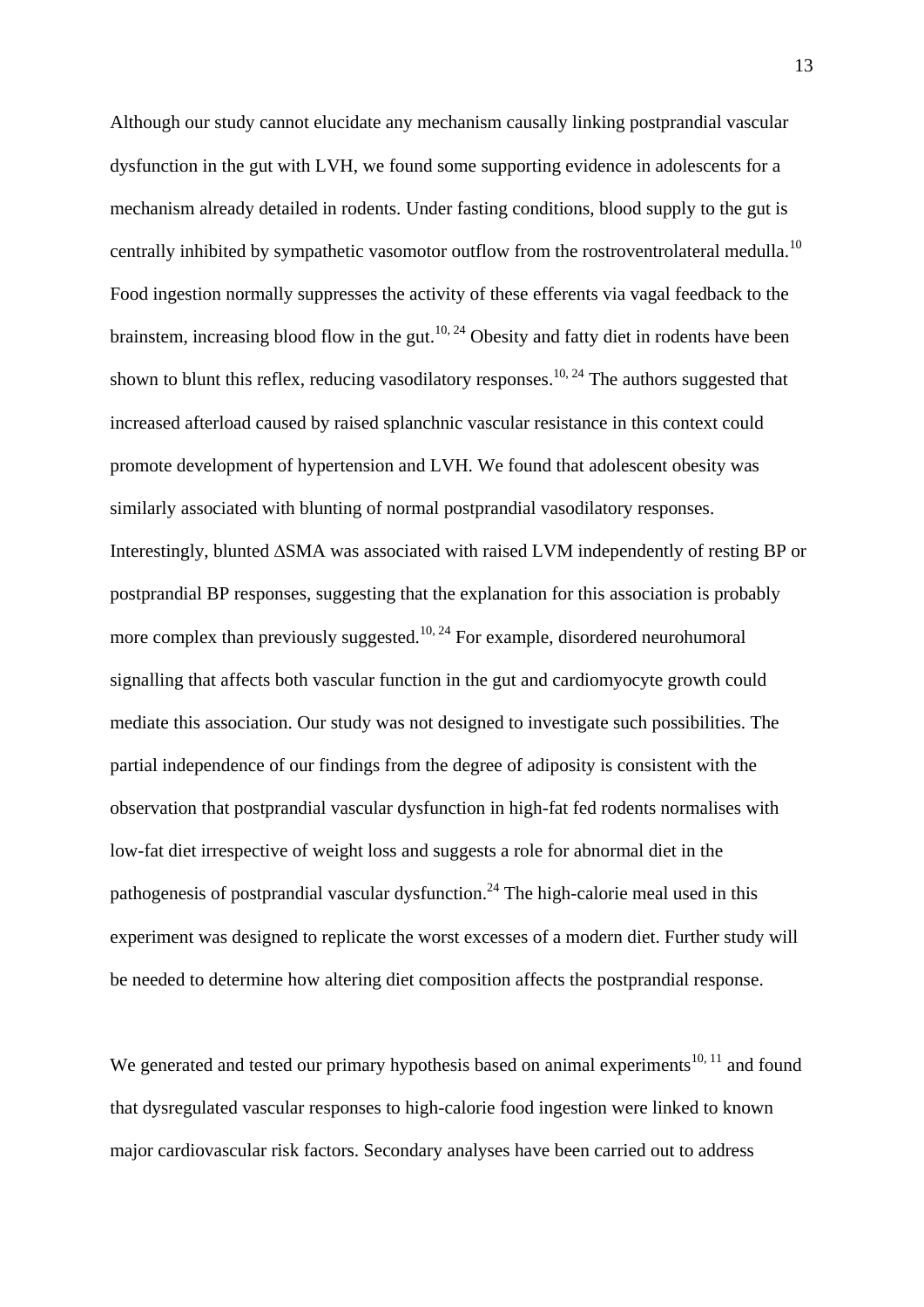Although our study cannot elucidate any mechanism causally linking postprandial vascular dysfunction in the gut with LVH, we found some supporting evidence in adolescents for a mechanism already detailed in rodents. Under fasting conditions, blood supply to the gut is centrally inhibited by sympathetic vasomotor outflow from the rostroventrolateral medulla.<sup>10</sup> Food ingestion normally suppresses the activity of these efferents via vagal feedback to the brainstem, increasing blood flow in the gut.<sup>10, 24</sup> Obesity and fatty diet in rodents have been shown to blunt this reflex, reducing vasodilatory responses.<sup>10, 24</sup> The authors suggested that increased afterload caused by raised splanchnic vascular resistance in this context could promote development of hypertension and LVH. We found that adolescent obesity was similarly associated with blunting of normal postprandial vasodilatory responses. Interestingly, blunted ∆SMA was associated with raised LVM independently of resting BP or postprandial BP responses, suggesting that the explanation for this association is probably more complex than previously suggested.<sup>10, 24</sup> For example, disordered neurohumoral signalling that affects both vascular function in the gut and cardiomyocyte growth could mediate this association. Our study was not designed to investigate such possibilities. The partial independence of our findings from the degree of adiposity is consistent with the observation that postprandial vascular dysfunction in high-fat fed rodents normalises with low-fat diet irrespective of weight loss and suggests a role for abnormal diet in the pathogenesis of postprandial vascular dysfunction.<sup>24</sup> The high-calorie meal used in this experiment was designed to replicate the worst excesses of a modern diet. Further study will be needed to determine how altering diet composition affects the postprandial response.

We generated and tested our primary hypothesis based on animal experiments<sup>10, 11</sup> and found that dysregulated vascular responses to high-calorie food ingestion were linked to known major cardiovascular risk factors. Secondary analyses have been carried out to address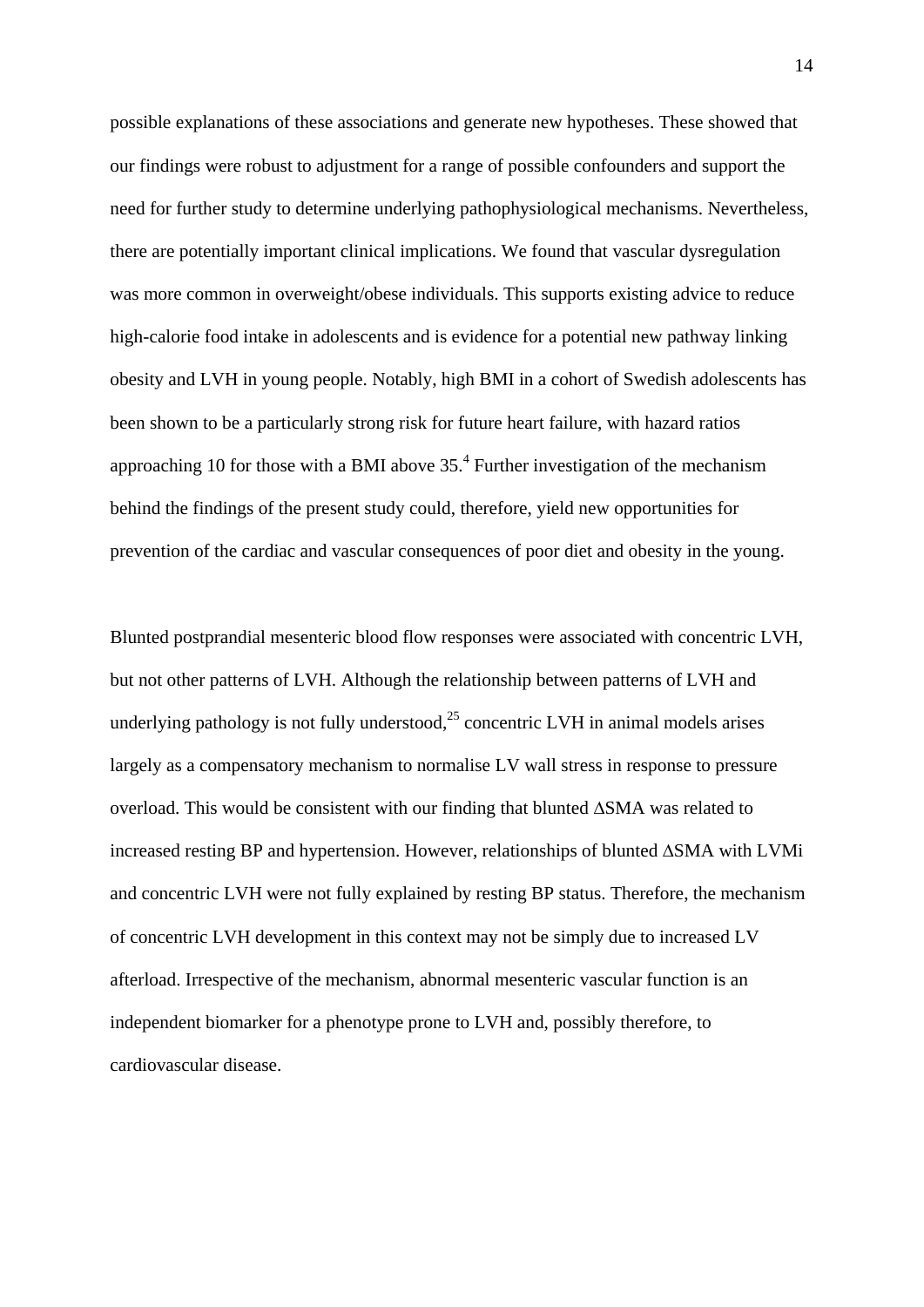possible explanations of these associations and generate new hypotheses. These showed that our findings were robust to adjustment for a range of possible confounders and support the need for further study to determine underlying pathophysiological mechanisms. Nevertheless, there are potentially important clinical implications. We found that vascular dysregulation was more common in overweight/obese individuals. This supports existing advice to reduce high-calorie food intake in adolescents and is evidence for a potential new pathway linking obesity and LVH in young people. Notably, high BMI in a cohort of Swedish adolescents has been shown to be a particularly strong risk for future heart failure, with hazard ratios approaching 10 for those with a BMI above  $35<sup>4</sup>$  Further investigation of the mechanism behind the findings of the present study could, therefore, yield new opportunities for prevention of the cardiac and vascular consequences of poor diet and obesity in the young.

Blunted postprandial mesenteric blood flow responses were associated with concentric LVH, but not other patterns of LVH. Although the relationship between patterns of LVH and underlying pathology is not fully understood, $^{25}$  concentric LVH in animal models arises largely as a compensatory mechanism to normalise LV wall stress in response to pressure overload. This would be consistent with our finding that blunted ∆SMA was related to increased resting BP and hypertension. However, relationships of blunted ∆SMA with LVMi and concentric LVH were not fully explained by resting BP status. Therefore, the mechanism of concentric LVH development in this context may not be simply due to increased LV afterload. Irrespective of the mechanism, abnormal mesenteric vascular function is an independent biomarker for a phenotype prone to LVH and, possibly therefore, to cardiovascular disease.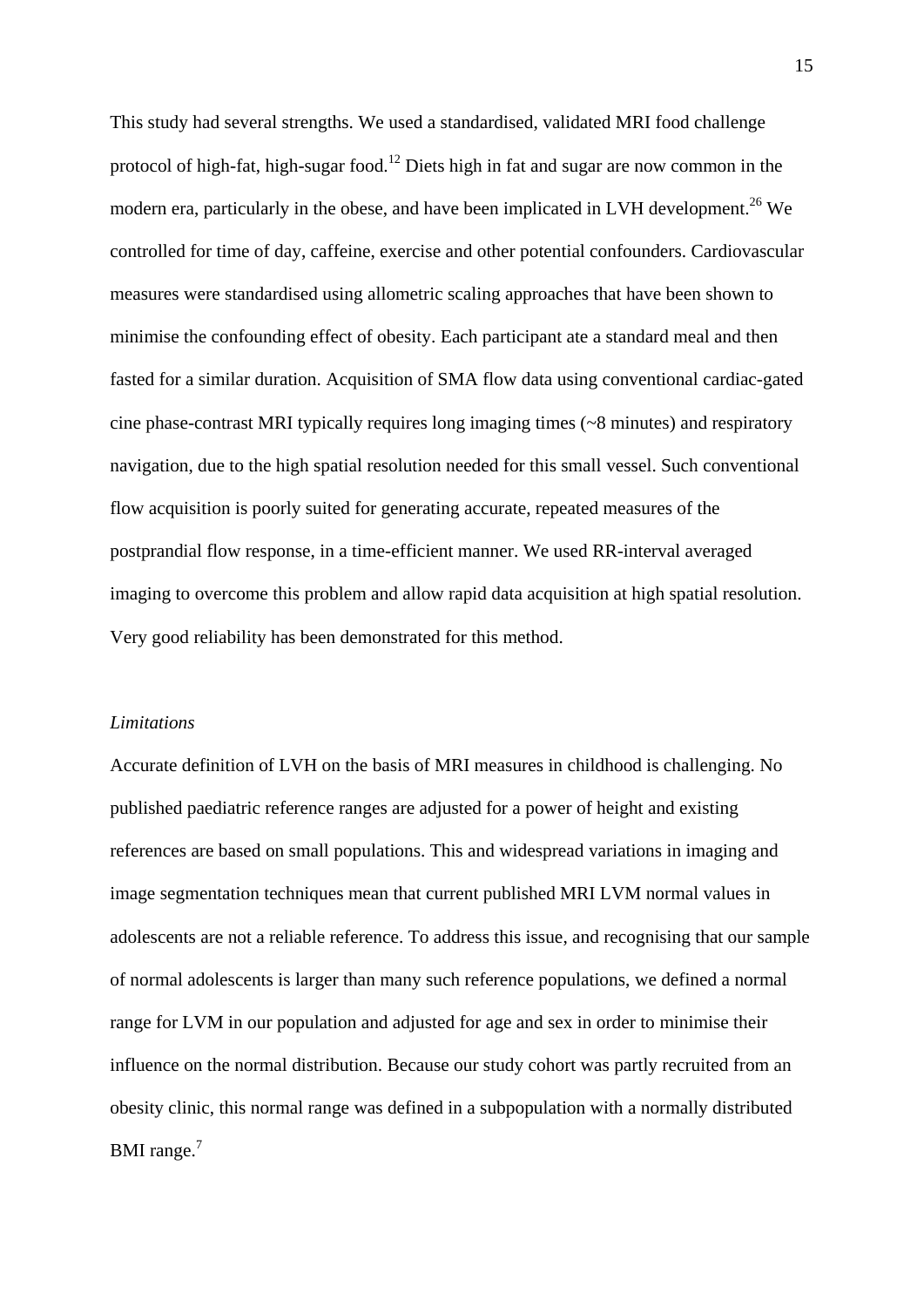This study had several strengths. We used a standardised, validated MRI food challenge protocol of high-fat, high-sugar food.<sup>12</sup> Diets high in fat and sugar are now common in the modern era, particularly in the obese, and have been implicated in LVH development.<sup>26</sup> We controlled for time of day, caffeine, exercise and other potential confounders. Cardiovascular measures were standardised using allometric scaling approaches that have been shown to minimise the confounding effect of obesity. Each participant ate a standard meal and then fasted for a similar duration. Acquisition of SMA flow data using conventional cardiac-gated cine phase-contrast MRI typically requires long imaging times (~8 minutes) and respiratory navigation, due to the high spatial resolution needed for this small vessel. Such conventional flow acquisition is poorly suited for generating accurate, repeated measures of the postprandial flow response, in a time-efficient manner. We used RR-interval averaged imaging to overcome this problem and allow rapid data acquisition at high spatial resolution. Very good reliability has been demonstrated for this method.

#### *Limitations*

Accurate definition of LVH on the basis of MRI measures in childhood is challenging. No published paediatric reference ranges are adjusted for a power of height and existing references are based on small populations. This and widespread variations in imaging and image segmentation techniques mean that current published MRI LVM normal values in adolescents are not a reliable reference. To address this issue, and recognising that our sample of normal adolescents is larger than many such reference populations, we defined a normal range for LVM in our population and adjusted for age and sex in order to minimise their influence on the normal distribution. Because our study cohort was partly recruited from an obesity clinic, this normal range was defined in a subpopulation with a normally distributed BMI range.<sup>7</sup>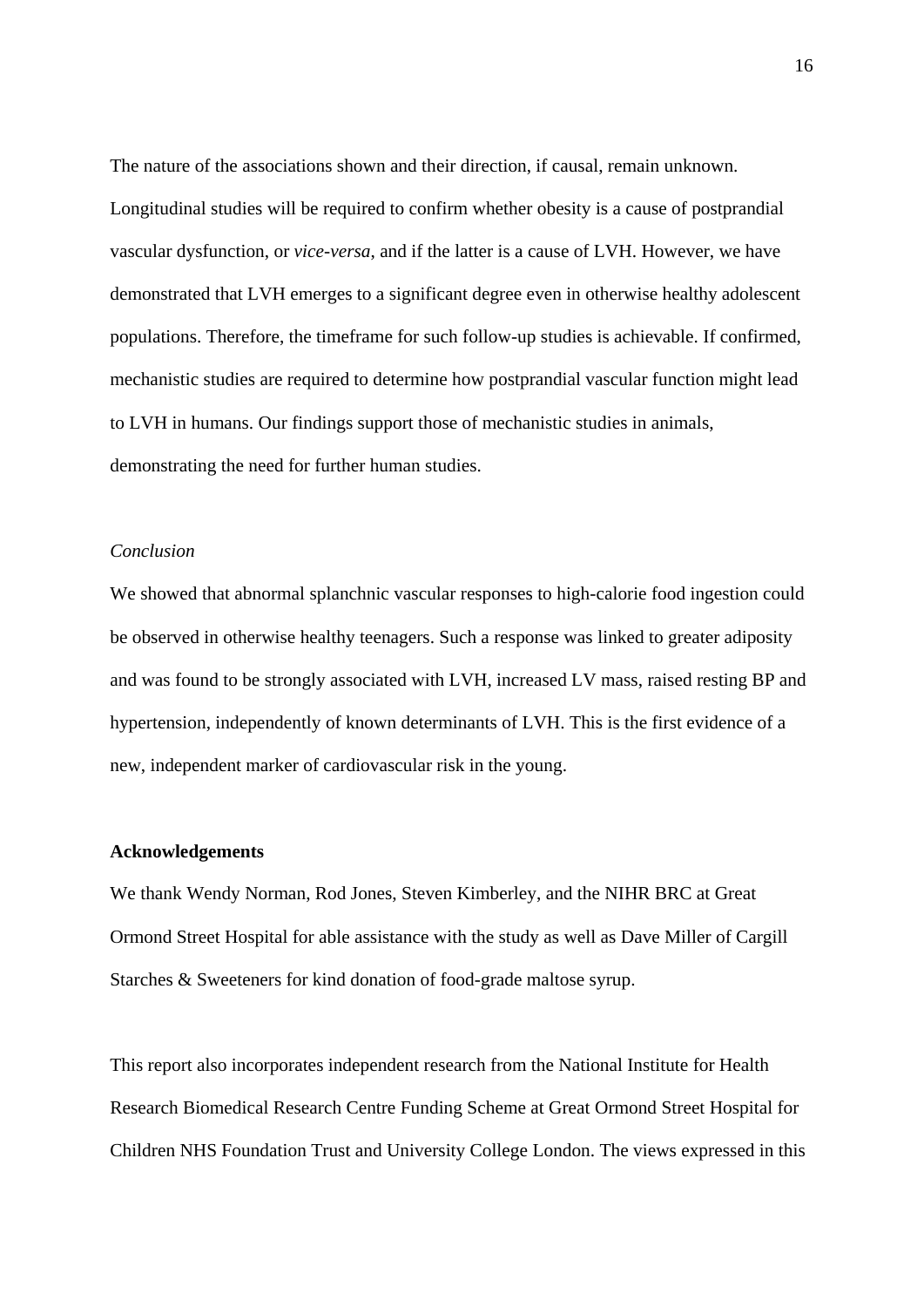The nature of the associations shown and their direction, if causal, remain unknown. Longitudinal studies will be required to confirm whether obesity is a cause of postprandial vascular dysfunction, or *vice-versa*, and if the latter is a cause of LVH. However, we have demonstrated that LVH emerges to a significant degree even in otherwise healthy adolescent populations. Therefore, the timeframe for such follow-up studies is achievable. If confirmed, mechanistic studies are required to determine how postprandial vascular function might lead to LVH in humans. Our findings support those of mechanistic studies in animals, demonstrating the need for further human studies.

# *Conclusion*

We showed that abnormal splanchnic vascular responses to high-calorie food ingestion could be observed in otherwise healthy teenagers. Such a response was linked to greater adiposity and was found to be strongly associated with LVH, increased LV mass, raised resting BP and hypertension, independently of known determinants of LVH. This is the first evidence of a new, independent marker of cardiovascular risk in the young.

## **Acknowledgements**

We thank Wendy Norman, Rod Jones, Steven Kimberley, and the NIHR BRC at Great Ormond Street Hospital for able assistance with the study as well as Dave Miller of Cargill Starches & Sweeteners for kind donation of food-grade maltose syrup.

This report also incorporates independent research from the National Institute for Health Research Biomedical Research Centre Funding Scheme at Great Ormond Street Hospital for Children NHS Foundation Trust and University College London. The views expressed in this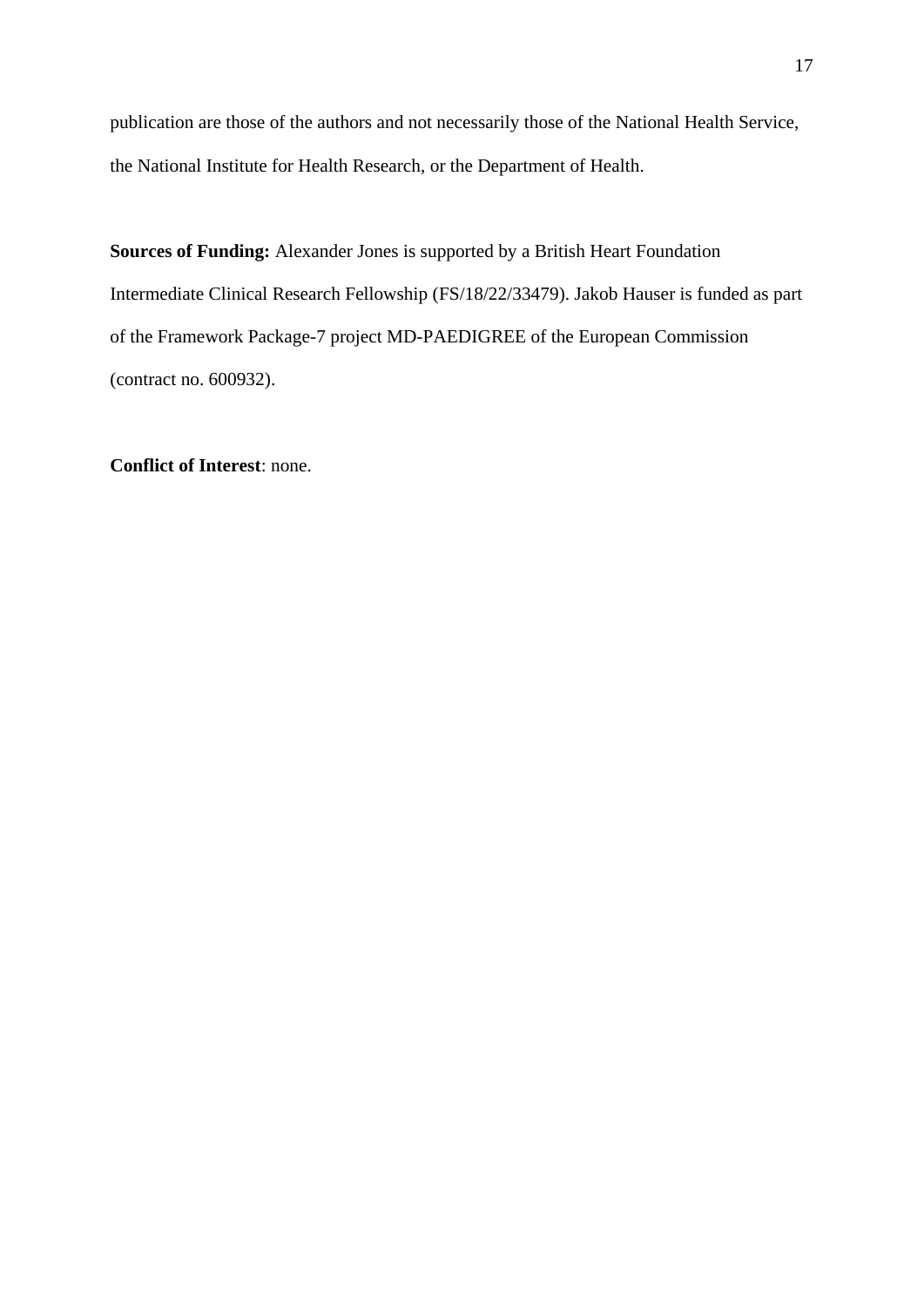publication are those of the authors and not necessarily those of the National Health Service, the National Institute for Health Research, or the Department of Health.

**Sources of Funding:** Alexander Jones is supported by a British Heart Foundation Intermediate Clinical Research Fellowship (FS/18/22/33479). Jakob Hauser is funded as part of the Framework Package-7 project MD-PAEDIGREE of the European Commission (contract no. 600932).

**Conflict of Interest**: none.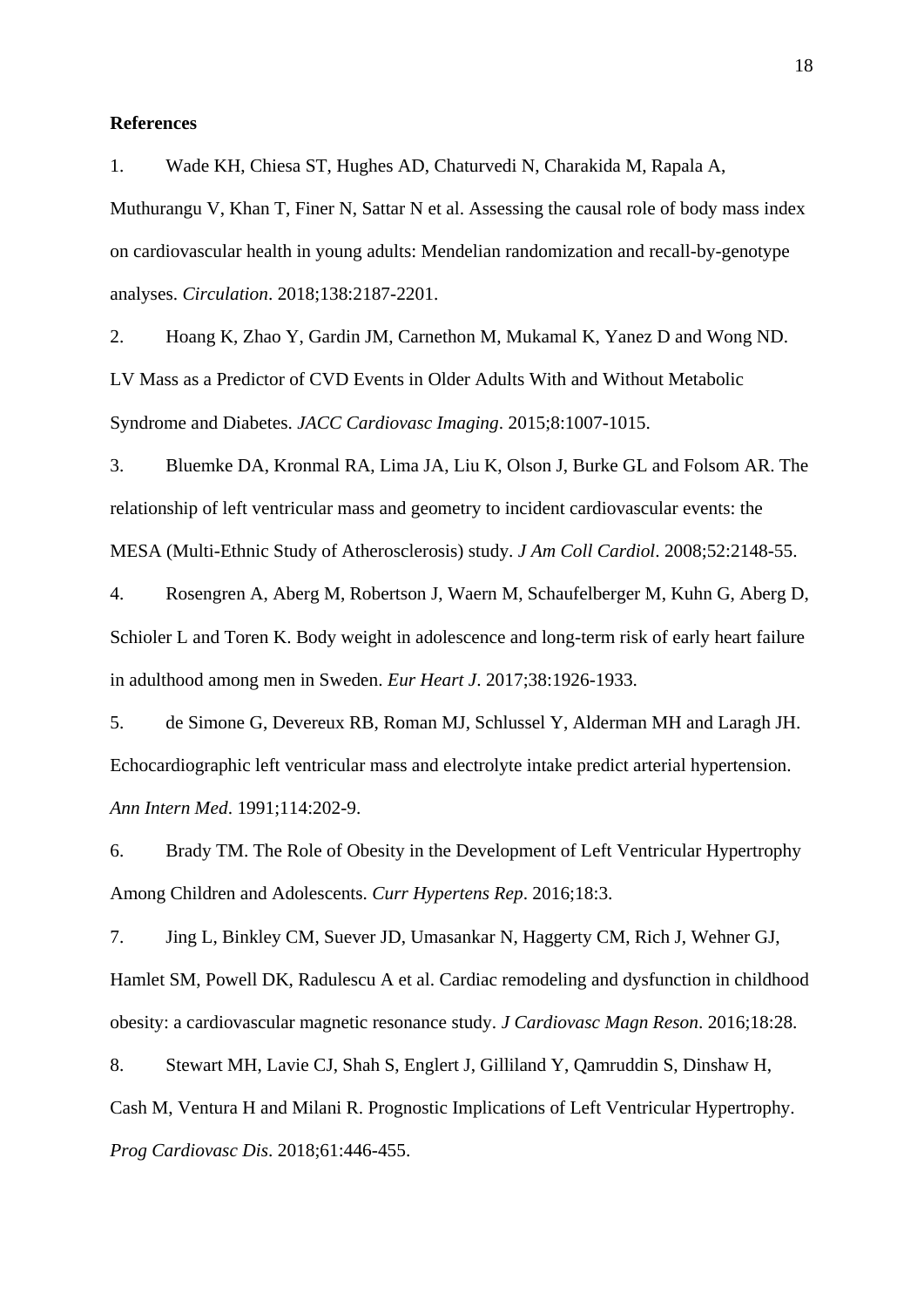#### **References**

1. Wade KH, Chiesa ST, Hughes AD, Chaturvedi N, Charakida M, Rapala A,

Muthurangu V, Khan T, Finer N, Sattar N et al. Assessing the causal role of body mass index on cardiovascular health in young adults: Mendelian randomization and recall-by-genotype analyses. *Circulation*. 2018;138:2187-2201.

2. Hoang K, Zhao Y, Gardin JM, Carnethon M, Mukamal K, Yanez D and Wong ND. LV Mass as a Predictor of CVD Events in Older Adults With and Without Metabolic Syndrome and Diabetes. *JACC Cardiovasc Imaging*. 2015;8:1007-1015.

3. Bluemke DA, Kronmal RA, Lima JA, Liu K, Olson J, Burke GL and Folsom AR. The relationship of left ventricular mass and geometry to incident cardiovascular events: the MESA (Multi-Ethnic Study of Atherosclerosis) study. *J Am Coll Cardiol*. 2008;52:2148-55.

4. Rosengren A, Aberg M, Robertson J, Waern M, Schaufelberger M, Kuhn G, Aberg D, Schioler L and Toren K. Body weight in adolescence and long-term risk of early heart failure in adulthood among men in Sweden. *Eur Heart J*. 2017;38:1926-1933.

5. de Simone G, Devereux RB, Roman MJ, Schlussel Y, Alderman MH and Laragh JH. Echocardiographic left ventricular mass and electrolyte intake predict arterial hypertension. *Ann Intern Med*. 1991;114:202-9.

6. Brady TM. The Role of Obesity in the Development of Left Ventricular Hypertrophy Among Children and Adolescents. *Curr Hypertens Rep*. 2016;18:3.

7. Jing L, Binkley CM, Suever JD, Umasankar N, Haggerty CM, Rich J, Wehner GJ, Hamlet SM, Powell DK, Radulescu A et al. Cardiac remodeling and dysfunction in childhood obesity: a cardiovascular magnetic resonance study. *J Cardiovasc Magn Reson*. 2016;18:28.

8. Stewart MH, Lavie CJ, Shah S, Englert J, Gilliland Y, Qamruddin S, Dinshaw H, Cash M, Ventura H and Milani R. Prognostic Implications of Left Ventricular Hypertrophy. *Prog Cardiovasc Dis*. 2018;61:446-455.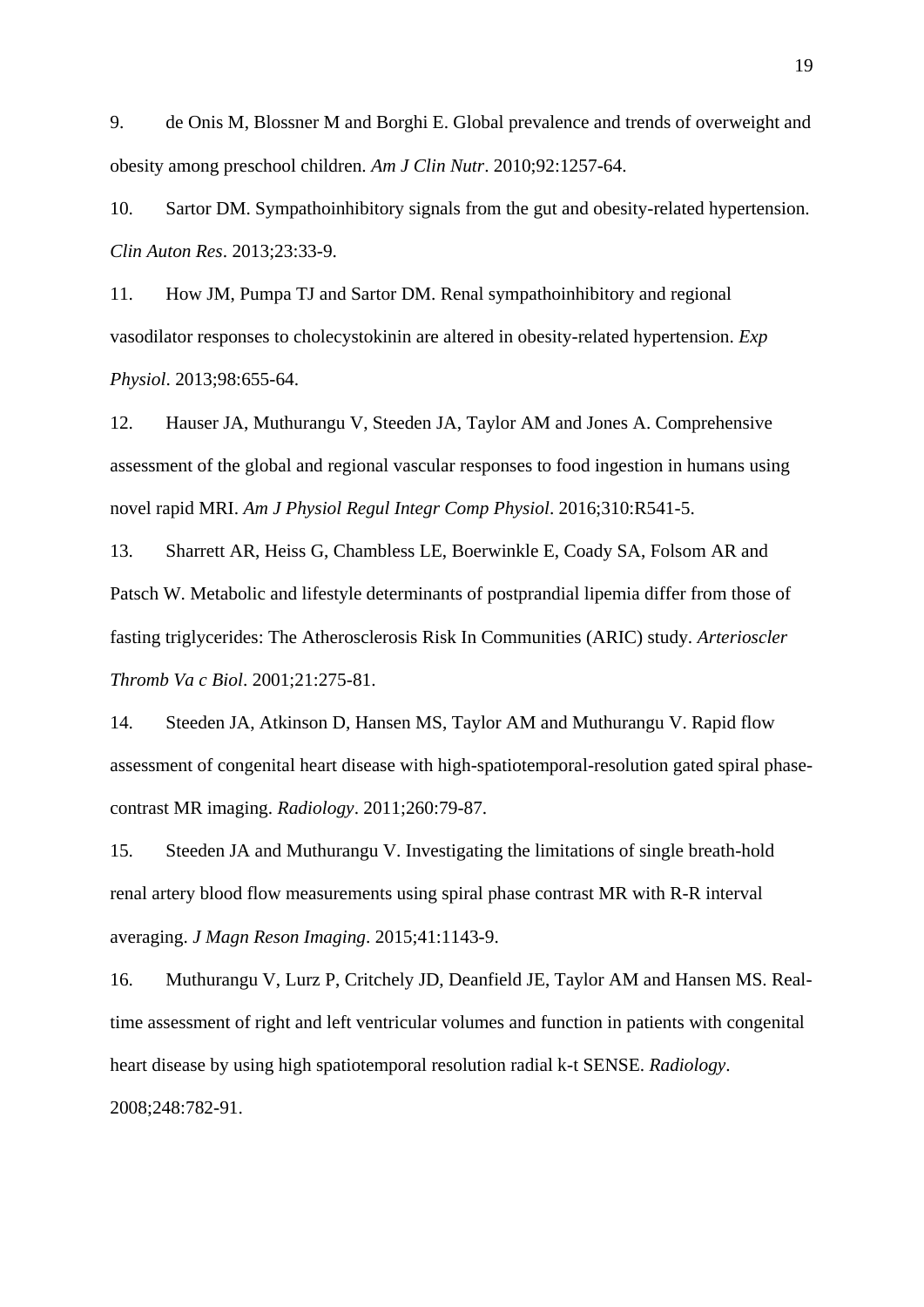9. de Onis M, Blossner M and Borghi E. Global prevalence and trends of overweight and obesity among preschool children. *Am J Clin Nutr*. 2010;92:1257-64.

10. Sartor DM. Sympathoinhibitory signals from the gut and obesity-related hypertension. *Clin Auton Res*. 2013;23:33-9.

11. How JM, Pumpa TJ and Sartor DM. Renal sympathoinhibitory and regional vasodilator responses to cholecystokinin are altered in obesity-related hypertension. *Exp Physiol*. 2013;98:655-64.

12. Hauser JA, Muthurangu V, Steeden JA, Taylor AM and Jones A. Comprehensive assessment of the global and regional vascular responses to food ingestion in humans using novel rapid MRI. *Am J Physiol Regul Integr Comp Physiol*. 2016;310:R541-5.

13. Sharrett AR, Heiss G, Chambless LE, Boerwinkle E, Coady SA, Folsom AR and Patsch W. Metabolic and lifestyle determinants of postprandial lipemia differ from those of fasting triglycerides: The Atherosclerosis Risk In Communities (ARIC) study. *Arterioscler Thromb Va c Biol*. 2001;21:275-81.

14. Steeden JA, Atkinson D, Hansen MS, Taylor AM and Muthurangu V. Rapid flow assessment of congenital heart disease with high-spatiotemporal-resolution gated spiral phasecontrast MR imaging. *Radiology*. 2011;260:79-87.

15. Steeden JA and Muthurangu V. Investigating the limitations of single breath-hold renal artery blood flow measurements using spiral phase contrast MR with R-R interval averaging. *J Magn Reson Imaging*. 2015;41:1143-9.

16. Muthurangu V, Lurz P, Critchely JD, Deanfield JE, Taylor AM and Hansen MS. Realtime assessment of right and left ventricular volumes and function in patients with congenital heart disease by using high spatiotemporal resolution radial k-t SENSE. *Radiology*. 2008;248:782-91.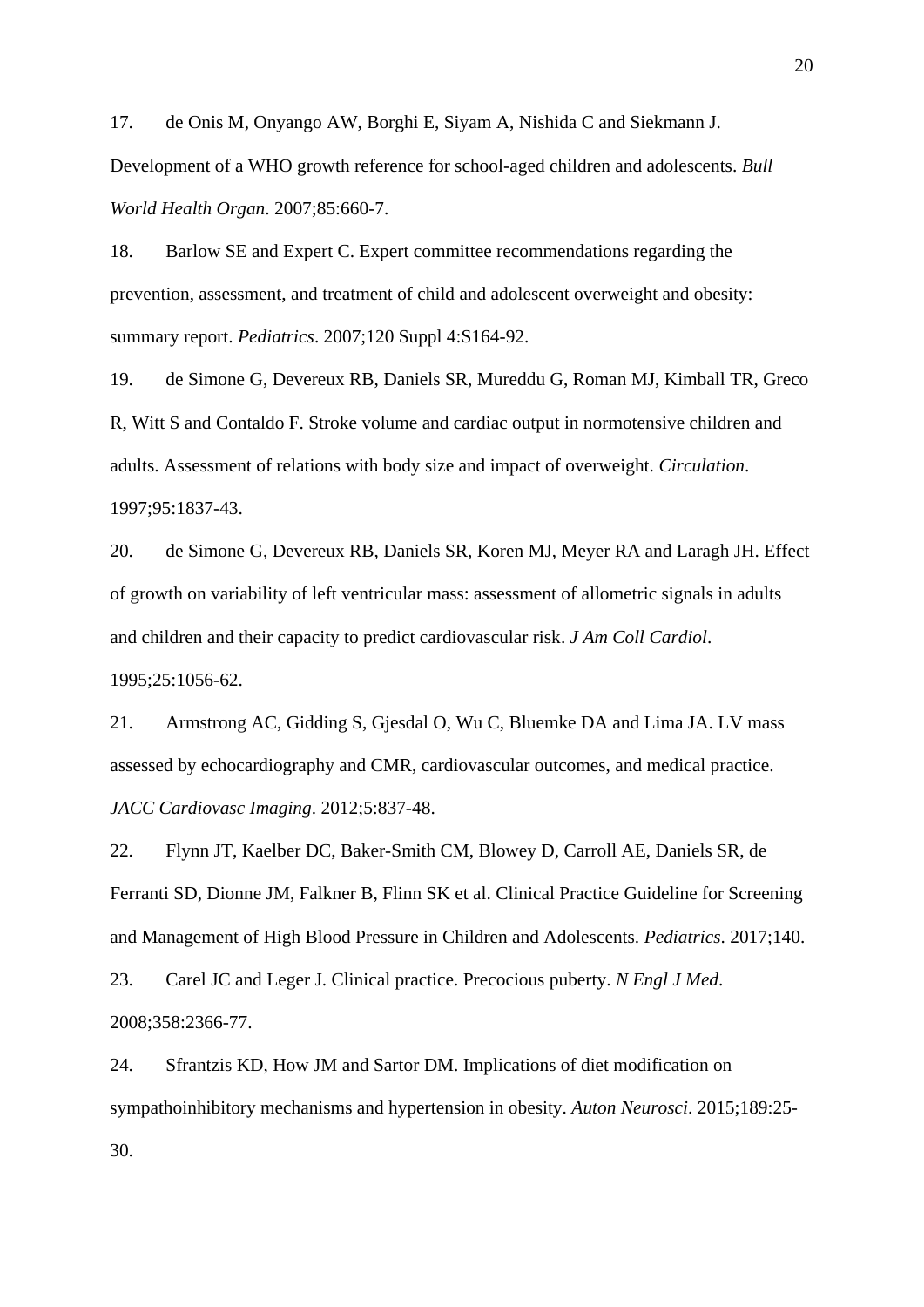17. de Onis M, Onyango AW, Borghi E, Siyam A, Nishida C and Siekmann J. Development of a WHO growth reference for school-aged children and adolescents. *Bull World Health Organ*. 2007;85:660-7.

18. Barlow SE and Expert C. Expert committee recommendations regarding the prevention, assessment, and treatment of child and adolescent overweight and obesity: summary report. *Pediatrics*. 2007;120 Suppl 4:S164-92.

19. de Simone G, Devereux RB, Daniels SR, Mureddu G, Roman MJ, Kimball TR, Greco R, Witt S and Contaldo F. Stroke volume and cardiac output in normotensive children and adults. Assessment of relations with body size and impact of overweight. *Circulation*. 1997;95:1837-43.

20. de Simone G, Devereux RB, Daniels SR, Koren MJ, Meyer RA and Laragh JH. Effect of growth on variability of left ventricular mass: assessment of allometric signals in adults and children and their capacity to predict cardiovascular risk. *J Am Coll Cardiol*. 1995;25:1056-62.

21. Armstrong AC, Gidding S, Gjesdal O, Wu C, Bluemke DA and Lima JA. LV mass assessed by echocardiography and CMR, cardiovascular outcomes, and medical practice. *JACC Cardiovasc Imaging*. 2012;5:837-48.

22. Flynn JT, Kaelber DC, Baker-Smith CM, Blowey D, Carroll AE, Daniels SR, de Ferranti SD, Dionne JM, Falkner B, Flinn SK et al. Clinical Practice Guideline for Screening and Management of High Blood Pressure in Children and Adolescents. *Pediatrics*. 2017;140.

23. Carel JC and Leger J. Clinical practice. Precocious puberty. *N Engl J Med*. 2008;358:2366-77.

24. Sfrantzis KD, How JM and Sartor DM. Implications of diet modification on sympathoinhibitory mechanisms and hypertension in obesity. *Auton Neurosci*. 2015;189:25- 30.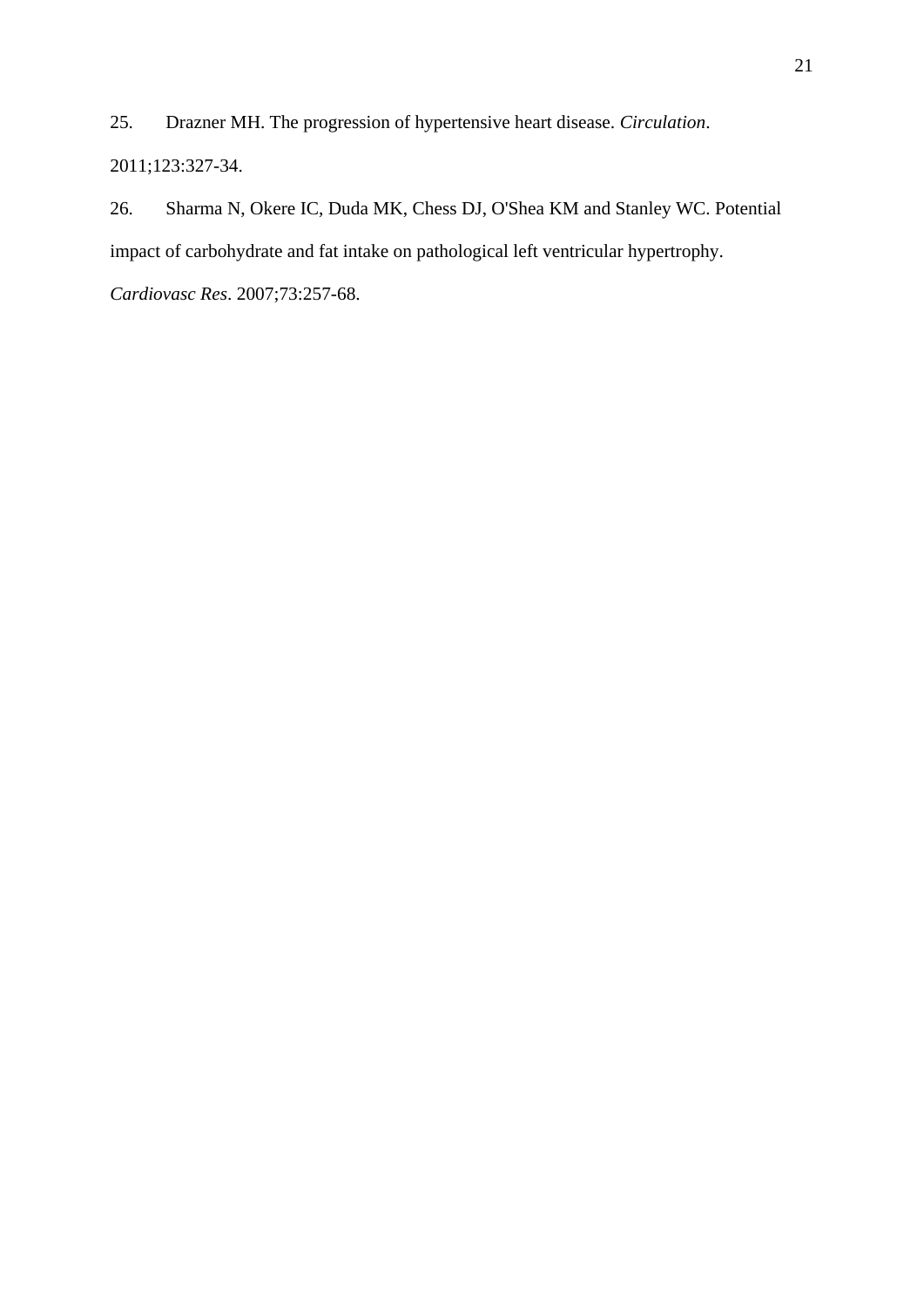25. Drazner MH. The progression of hypertensive heart disease. *Circulation*. 2011;123:327-34.

26. Sharma N, Okere IC, Duda MK, Chess DJ, O'Shea KM and Stanley WC. Potential impact of carbohydrate and fat intake on pathological left ventricular hypertrophy.

*Cardiovasc Res*. 2007;73:257-68.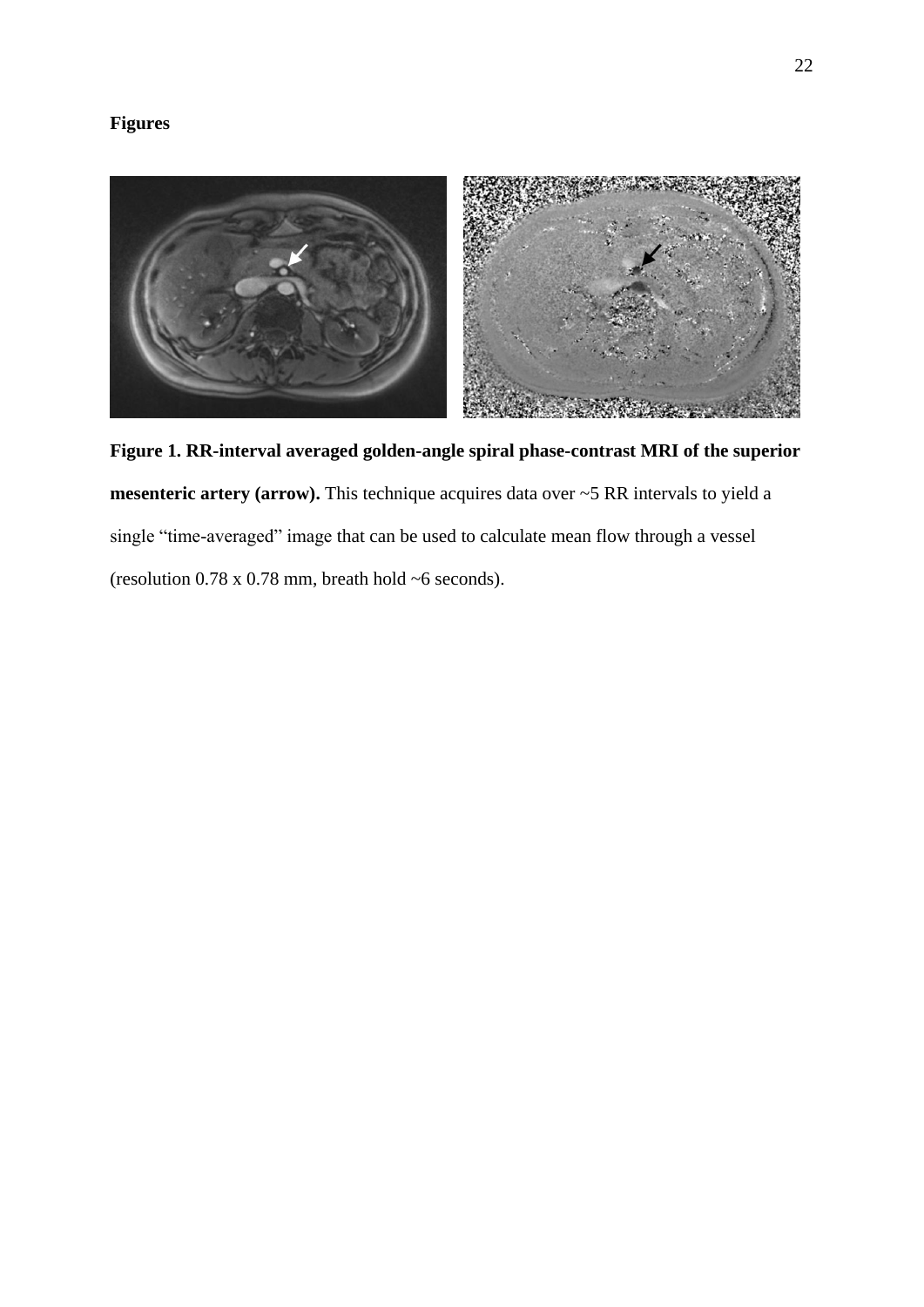# **Figures**



**Figure 1. RR-interval averaged golden-angle spiral phase-contrast MRI of the superior mesenteric artery (arrow).** This technique acquires data over ~5 RR intervals to yield a single "time-averaged" image that can be used to calculate mean flow through a vessel (resolution 0.78 x 0.78 mm, breath hold ~6 seconds).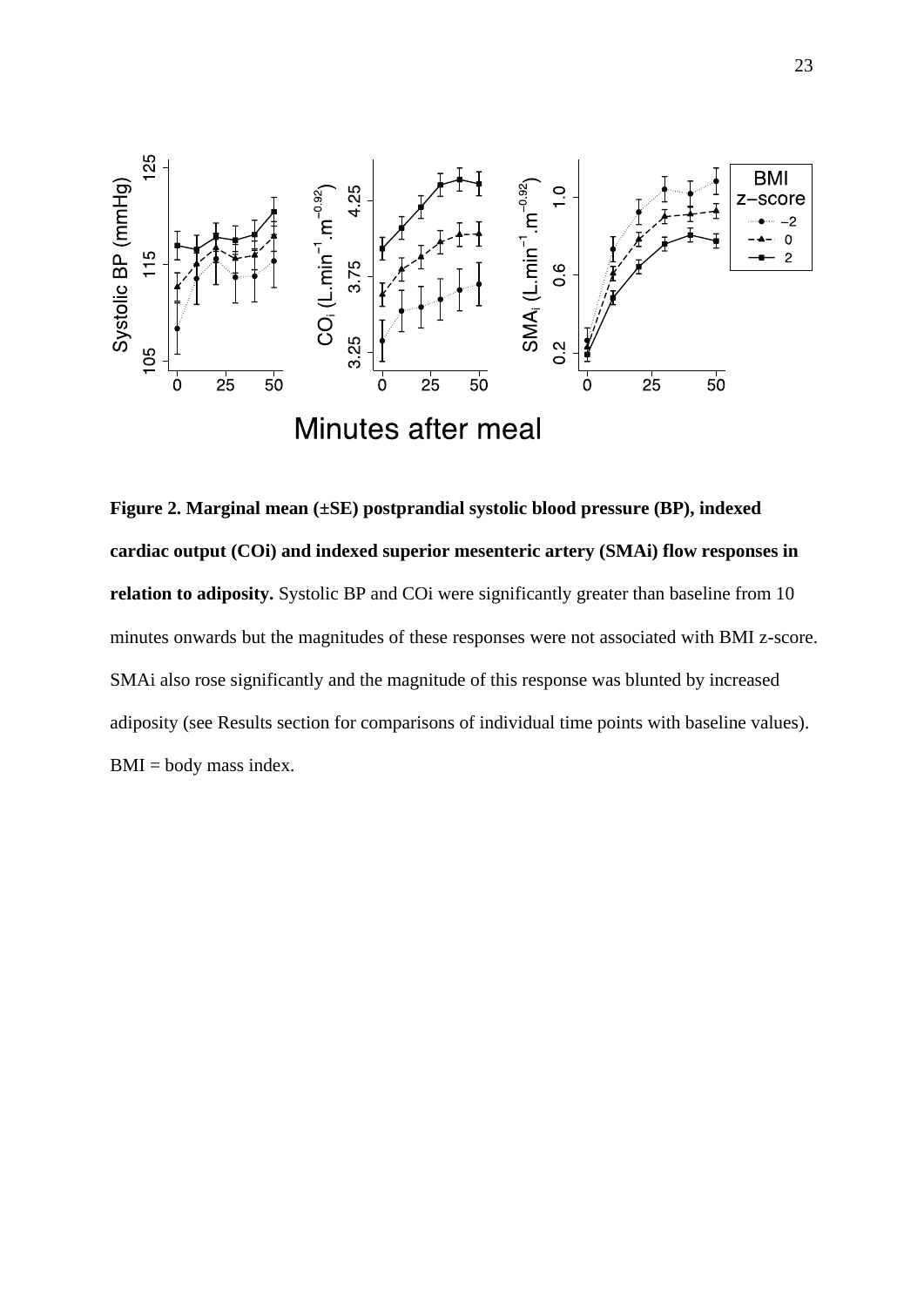

**Figure 2. Marginal mean (±SE) postprandial systolic blood pressure (BP), indexed cardiac output (COi) and indexed superior mesenteric artery (SMAi) flow responses in relation to adiposity.** Systolic BP and COi were significantly greater than baseline from 10 minutes onwards but the magnitudes of these responses were not associated with BMI z-score. SMAi also rose significantly and the magnitude of this response was blunted by increased adiposity (see Results section for comparisons of individual time points with baseline values).  $BMI = body$  mass index.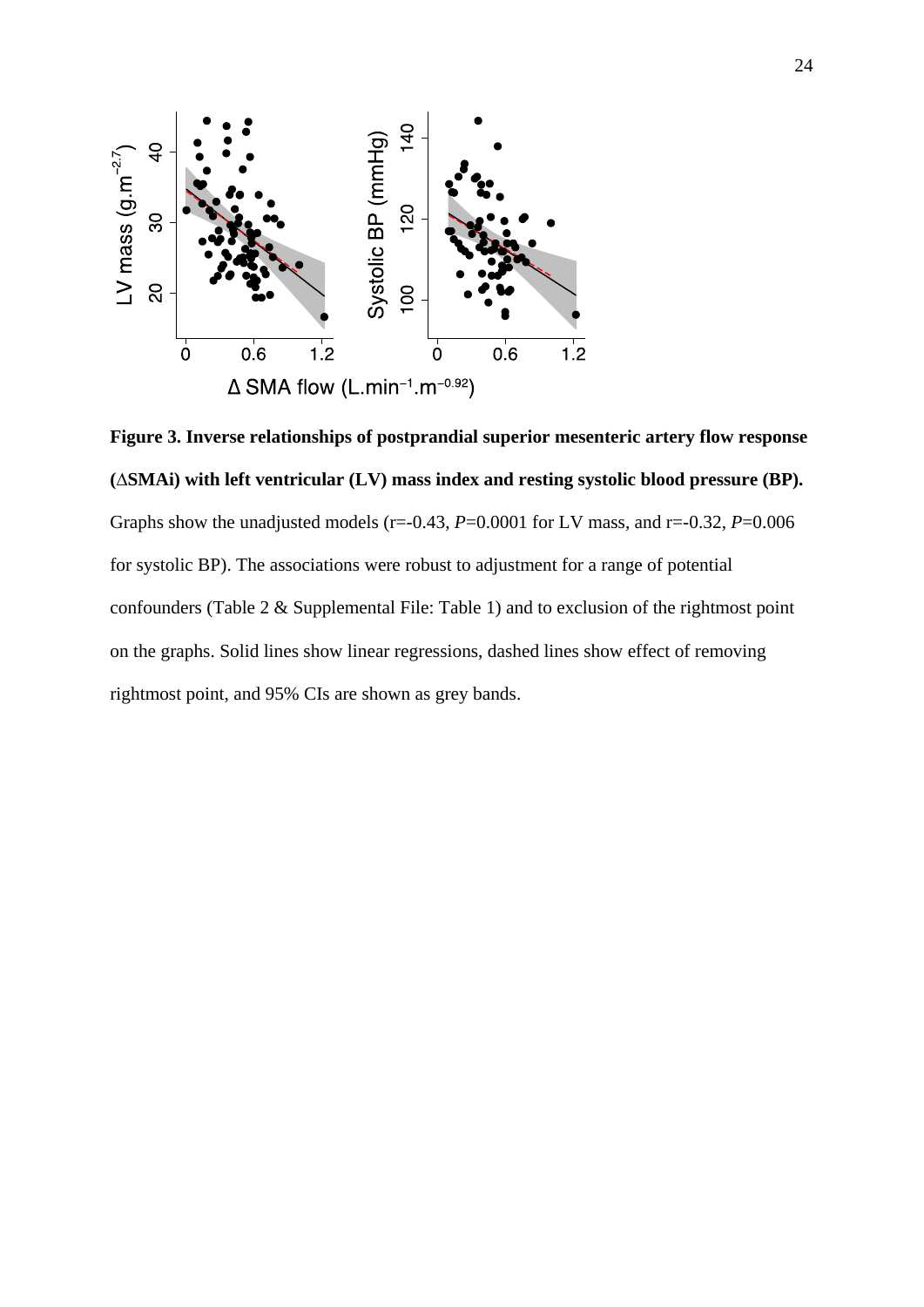

**Figure 3. Inverse relationships of postprandial superior mesenteric artery flow response (∆SMAi) with left ventricular (LV) mass index and resting systolic blood pressure (BP).** Graphs show the unadjusted models ( $r=-0.43$ ,  $P=0.0001$  for LV mass, and  $r=-0.32$ ,  $P=0.006$ for systolic BP). The associations were robust to adjustment for a range of potential confounders (Table 2 & Supplemental File: Table 1) and to exclusion of the rightmost point on the graphs. Solid lines show linear regressions, dashed lines show effect of removing rightmost point, and 95% CIs are shown as grey bands.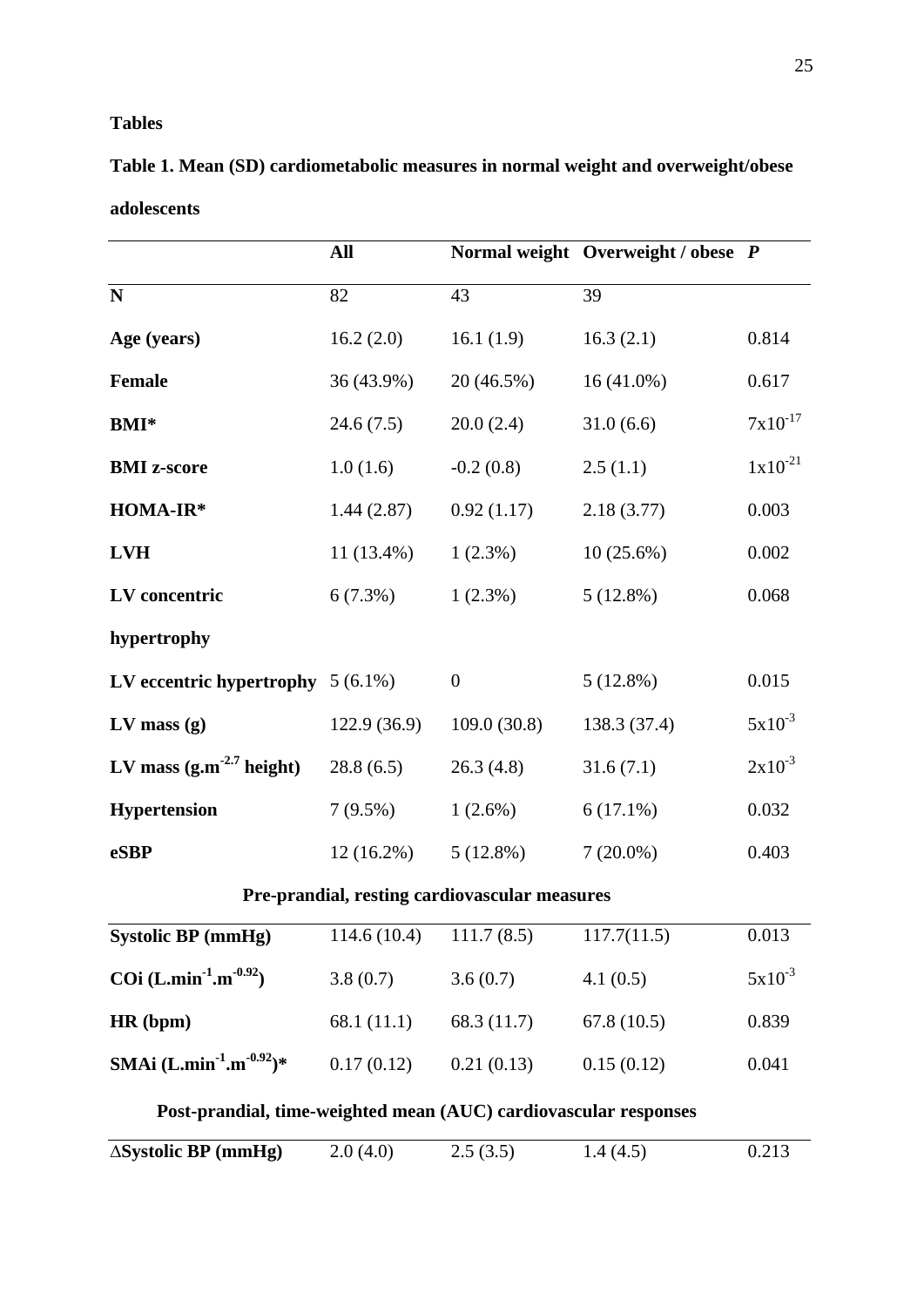# **Tables**

**Table 1. Mean (SD) cardiometabolic measures in normal weight and overweight/obese adolescents**

|                                                                  | All           |                | Normal weight Overweight / obese P |              |  |
|------------------------------------------------------------------|---------------|----------------|------------------------------------|--------------|--|
| $\mathbf N$                                                      | 82            | 43             | 39                                 |              |  |
| Age (years)                                                      | 16.2(2.0)     | 16.1 $(1.9)$   | 16.3(2.1)                          | 0.814        |  |
| Female                                                           | 36 (43.9%)    | 20 (46.5%)     | $16(41.0\%)$                       | 0.617        |  |
| <b>BMI*</b>                                                      | 24.6(7.5)     | 20.0(2.4)      | 31.0(6.6)                          | $7x10^{-17}$ |  |
| <b>BMI</b> z-score                                               | 1.0(1.6)      | $-0.2(0.8)$    | 2.5(1.1)                           | $1x10^{-21}$ |  |
| HOMA-IR*                                                         | 1.44(2.87)    | 0.92(1.17)     | 2.18(3.77)                         | 0.003        |  |
| <b>LVH</b>                                                       | $11(13.4\%)$  | $1(2.3\%)$     | $10(25.6\%)$                       | 0.002        |  |
| LV concentric                                                    | $6(7.3\%)$    | $1(2.3\%)$     | 5(12.8%)                           | 0.068        |  |
| hypertrophy                                                      |               |                |                                    |              |  |
| LV eccentric hypertrophy $5(6.1\%)$                              |               | $\overline{0}$ | $5(12.8\%)$                        | 0.015        |  |
| $LV$ mass $(g)$                                                  | 122.9(36.9)   | 109.0(30.8)    | 138.3 (37.4)                       | $5x10^{-3}$  |  |
| LV mass $(g.m^{-2.7} \text{ height})$                            | 28.8(6.5)     | 26.3(4.8)      | 31.6(7.1)                          | $2x10^{-3}$  |  |
| <b>Hypertension</b>                                              | $7(9.5\%)$    | $1(2.6\%)$     | $6(17.1\%)$                        | 0.032        |  |
| eSBP                                                             | $12(16.2\%)$  | $5(12.8\%)$    | $7(20.0\%)$                        | 0.403        |  |
| Pre-prandial, resting cardiovascular measures                    |               |                |                                    |              |  |
| Systolic BP (mmHg)                                               | 114.6 (10.4)  | 111.7(8.5)     | 117.7(11.5)                        | 0.013        |  |
| COi $(L.min^{-1}.m^{-0.92})$                                     | 3.8(0.7)      | 3.6(0.7)       | 4.1(0.5)                           | $5x10^{-3}$  |  |
| HR (bpm)                                                         | 68.1 $(11.1)$ | 68.3 (11.7)    | 67.8(10.5)                         | 0.839        |  |
| SMAi $(L.min^{-1}.m^{-0.92})$ *                                  | 0.17(0.12)    | 0.21(0.13)     | 0.15(0.12)                         | 0.041        |  |
| Post-prandial, time-weighted mean (AUC) cardiovascular responses |               |                |                                    |              |  |
| $\triangle SystemSystolic BP (mmHg)$                             | 2.0(4.0)      | 2.5(3.5)       | 1.4(4.5)                           | 0.213        |  |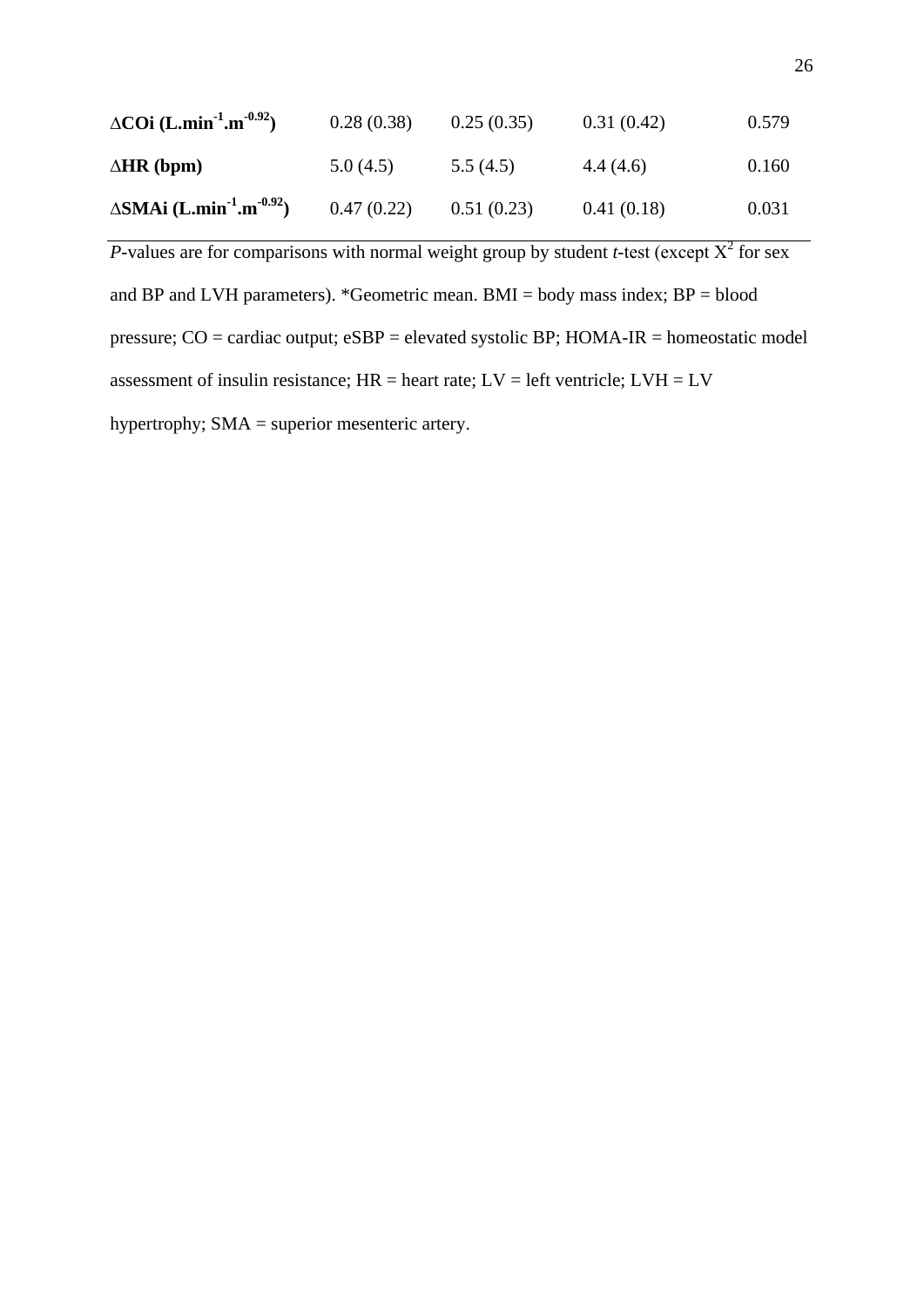| $\triangle CO$ i (L.min <sup>-1</sup> .m <sup>-0.92</sup> ) | 0.28(0.38) | 0.25(0.35) | 0.31(0.42) | 0.579 |
|-------------------------------------------------------------|------------|------------|------------|-------|
| $\Delta$ HR (bpm)                                           | 5.0(4.5)   | 5.5(4.5)   | 4.4(4.6)   | 0.160 |
| $\triangle$ SMAi (L.min <sup>-1</sup> .m <sup>-0.92</sup> ) | 0.47(0.22) | 0.51(0.23) | 0.41(0.18) | 0.031 |

*P*-values are for comparisons with normal weight group by student *t*-test (except  $X^2$  for sex and BP and LVH parameters). \*Geometric mean. BMI = body mass index; BP = blood pressure; CO = cardiac output; eSBP = elevated systolic BP; HOMA-IR = homeostatic model assessment of insulin resistance;  $HR =$  heart rate;  $LV =$  left ventricle;  $LVH = LV$ hypertrophy; SMA = superior mesenteric artery.